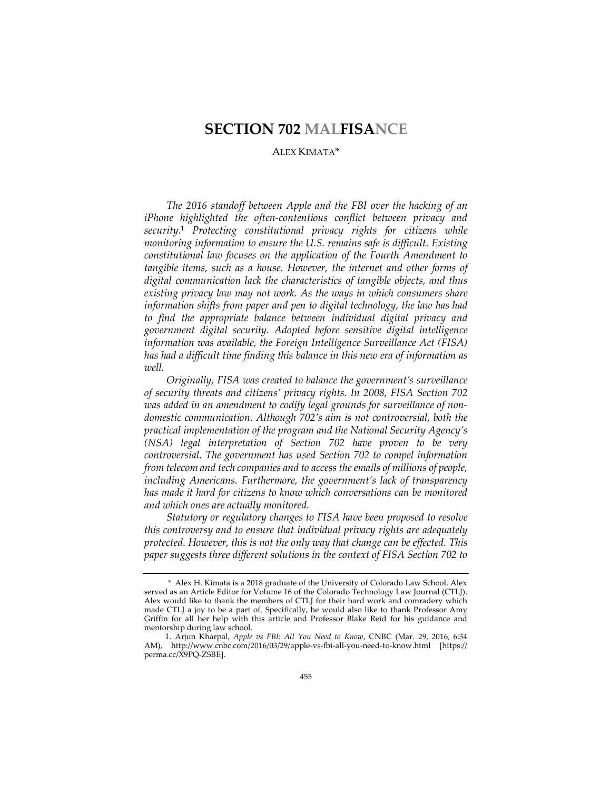# **SECTION 702 MALFISANCE**

## ALEX KIMATA\*

*The 2016 standoff between Apple and the FBI over the hacking of an iPhone highlighted the often-contentious conflict between privacy and security.*<sup>1</sup> *Protecting constitutional privacy rights for citizens while monitoring information to ensure the U.S. remains safe is difficult. Existing constitutional law focuses on the application of the Fourth Amendment to tangible items, such as a house. However, the internet and other forms of digital communication lack the characteristics of tangible objects, and thus existing privacy law may not work. As the ways in which consumers share information shifts from paper and pen to digital technology, the law has had to find the appropriate balance between individual digital privacy and government digital security. Adopted before sensitive digital intelligence information was available, the Foreign Intelligence Surveillance Act (FISA) has had a difficult time finding this balance in this new era of information as well.*

*Originally, FISA was created to balance the government's surveillance of security threats and citizens' privacy rights. In 2008, FISA Section 702 was added in an amendment to codify legal grounds for surveillance of nondomestic communication. Although 702's aim is not controversial, both the practical implementation of the program and the National Security Agency's (NSA) legal interpretation of Section 702 have proven to be very controversial. The government has used Section 702 to compel information from telecom and tech companies and to access the emails of millions of people, including Americans. Furthermore, the government's lack of transparency has made it hard for citizens to know which conversations can be monitored and which ones are actually monitored.*

*Statutory or regulatory changes to FISA have been proposed to resolve this controversy and to ensure that individual privacy rights are adequately protected. However, this is not the only way that change can be effected. This*  paper suggests three different solutions in the context of FISA Section 702 to

<sup>\*</sup> Alex H. Kimata is a 2018 graduate of the University of Colorado Law School. Alex served as an Article Editor for Volume 16 of the Colorado Technology Law Journal (CTLJ). Alex would like to thank the members of CTLJ for their hard work and comradery which made CTLJ a joy to be a part of. Specifically, he would also like to thank Professor Amy Griffin for all her help with this article and Professor Blake Reid for his guidance and mentorship during law school.

<sup>1.</sup> Arjun Kharpal, *Apple vs FBI: All You Need to Know*, CNBC (Mar. 29, 2016, 6:34 AM), http://www.cnbc.com/2016/03/29/apple-vs-fbi-all-you-need-to-know.html [https:// perma.cc/X9PQ-ZSBE].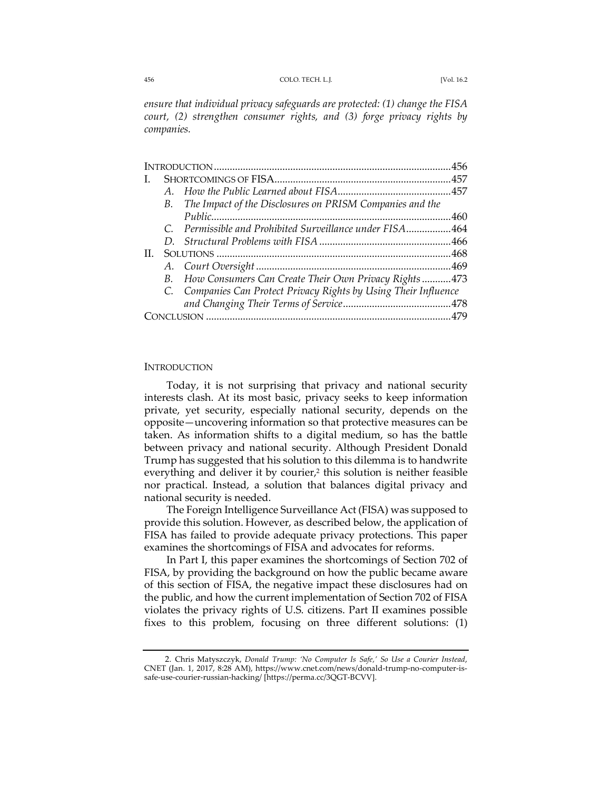#### 456 COLO. TECH. L.J. [Vol. 16.2

*ensure that individual privacy safeguards are protected: (1) change the FISA court, (2) strengthen consumer rights, and (3) forge privacy rights by companies.*

| L. |         |                                                                  |  |
|----|---------|------------------------------------------------------------------|--|
|    |         |                                                                  |  |
|    |         | B. The Impact of the Disclosures on PRISM Companies and the      |  |
|    |         |                                                                  |  |
|    |         | C. Permissible and Prohibited Surveillance under FISA464         |  |
|    | $D_{-}$ |                                                                  |  |
| H. |         |                                                                  |  |
|    |         |                                                                  |  |
|    | B.      | How Consumers Can Create Their Own Privacy Rights473             |  |
|    |         | C. Companies Can Protect Privacy Rights by Using Their Influence |  |
|    |         |                                                                  |  |
|    |         |                                                                  |  |
|    |         |                                                                  |  |

### **INTRODUCTION**

Today, it is not surprising that privacy and national security interests clash. At its most basic, privacy seeks to keep information private, yet security, especially national security, depends on the opposite—uncovering information so that protective measures can be taken. As information shifts to a digital medium, so has the battle between privacy and national security. Although President Donald Trump has suggested that his solution to this dilemma is to handwrite everything and deliver it by courier,<sup>2</sup> this solution is neither feasible nor practical. Instead, a solution that balances digital privacy and national security is needed.

The Foreign Intelligence Surveillance Act (FISA) was supposed to provide this solution. However, as described below, the application of FISA has failed to provide adequate privacy protections. This paper examines the shortcomings of FISA and advocates for reforms.

In Part I, this paper examines the shortcomings of Section 702 of FISA, by providing the background on how the public became aware of this section of FISA, the negative impact these disclosures had on the public, and how the current implementation of Section 702 of FISA violates the privacy rights of U.S. citizens. Part II examines possible fixes to this problem, focusing on three different solutions: (1)

<sup>2.</sup> Chris Matyszczyk, *Donald Trump: 'No Computer Is Safe,' So Use a Courier Instead*, CNET (Jan. 1, 2017, 8:28 AM), https://www.cnet.com/news/donald-trump-no-computer-issafe-use-courier-russian-hacking/ [https://perma.cc/3QGT-BCVV].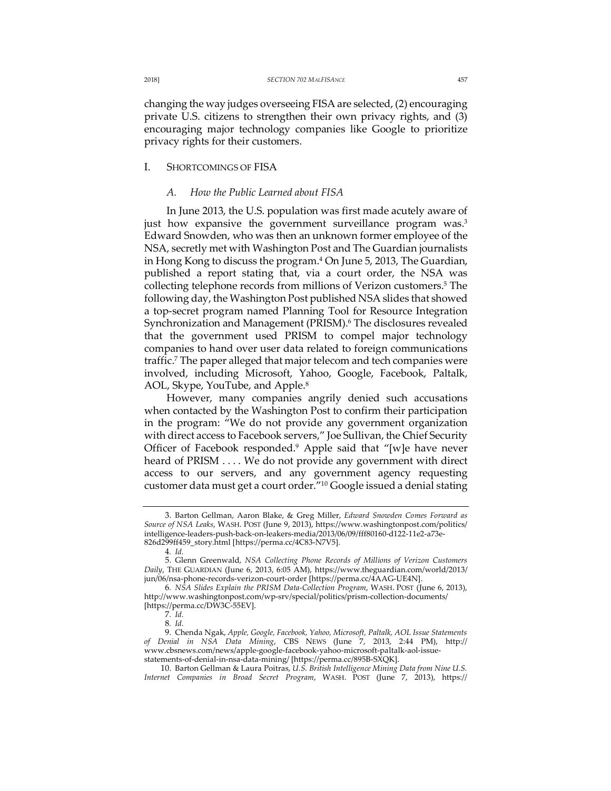changing the way judges overseeing FISA are selected, (2) encouraging private U.S. citizens to strengthen their own privacy rights, and (3) encouraging major technology companies like Google to prioritize privacy rights for their customers.

## I. SHORTCOMINGS OF FISA

## *A. How the Public Learned about FISA*

In June 2013, the U.S. population was first made acutely aware of just how expansive the government surveillance program was.<sup>3</sup> Edward Snowden, who was then an unknown former employee of the NSA, secretly met with Washington Post and The Guardian journalists in Hong Kong to discuss the program.<sup>4</sup> On June 5, 2013, The Guardian, published a report stating that, via a court order, the NSA was collecting telephone records from millions of Verizon customers.<sup>5</sup> The following day, the Washington Post published NSA slides that showed a top-secret program named Planning Tool for Resource Integration Synchronization and Management (PRISM).<sup>6</sup> The disclosures revealed that the government used PRISM to compel major technology companies to hand over user data related to foreign communications traffic.7 The paper alleged that major telecom and tech companies were involved, including Microsoft, Yahoo, Google, Facebook, Paltalk, AOL, Skype, YouTube, and Apple.<sup>8</sup>

However, many companies angrily denied such accusations when contacted by the Washington Post to confirm their participation in the program: "We do not provide any government organization with direct access to Facebook servers," Joe Sullivan, the Chief Security Officer of Facebook responded.9 Apple said that "[w]e have never heard of PRISM . . . . We do not provide any government with direct access to our servers, and any government agency requesting customer data must get a court order."10 Google issued a denial stating

<sup>3.</sup> Barton Gellman, Aaron Blake, & Greg Miller, *Edward Snowden Comes Forward as Source of NSA Leaks*, WASH. POST (June 9, 2013), https://www.washingtonpost.com/politics/ intelligence-leaders-push-back-on-leakers-media/2013/06/09/fff80160-d122-11e2-a73e-826d299ff459\_story.html [https://perma.cc/4C83-N7V5].

<sup>4</sup>*. Id.*

<sup>5.</sup> Glenn Greenwald, *NSA Collecting Phone Records of Millions of Verizon Customers Daily*, THE GUARDIAN (June 6, 2013, 6:05 AM), https://www.theguardian.com/world/2013/ jun/06/nsa-phone-records-verizon-court-order [https://perma.cc/4AAG-UE4N].

<sup>6</sup>*. NSA Slides Explain the PRISM Data-Collection Program*, WASH. POST (June 6, 2013), http://www.washingtonpost.com/wp-srv/special/politics/prism-collection-documents/ [https://perma.cc/DW3C-55EV].

<sup>7</sup>*. Id.*

<sup>8</sup>*. Id.*

<sup>9.</sup> Chenda Ngak, *Apple, Google, Facebook, Yahoo, Microsoft, Paltalk, AOL Issue Statements of Denial in NSA Data Mining*, CBS NEWS (June 7, 2013, 2:44 PM), http:// www.cbsnews.com/news/apple-google-facebook-yahoo-microsoft-paltalk-aol-issuestatements-of-denial-in-nsa-data-mining/ [https://perma.cc/895B-SXQK].

<sup>10.</sup> Barton Gellman & Laura Poitras, *U.S. British Intelligence Mining Data from Nine U.S. Internet Companies in Broad Secret Program*, WASH. POST (June 7, 2013), https://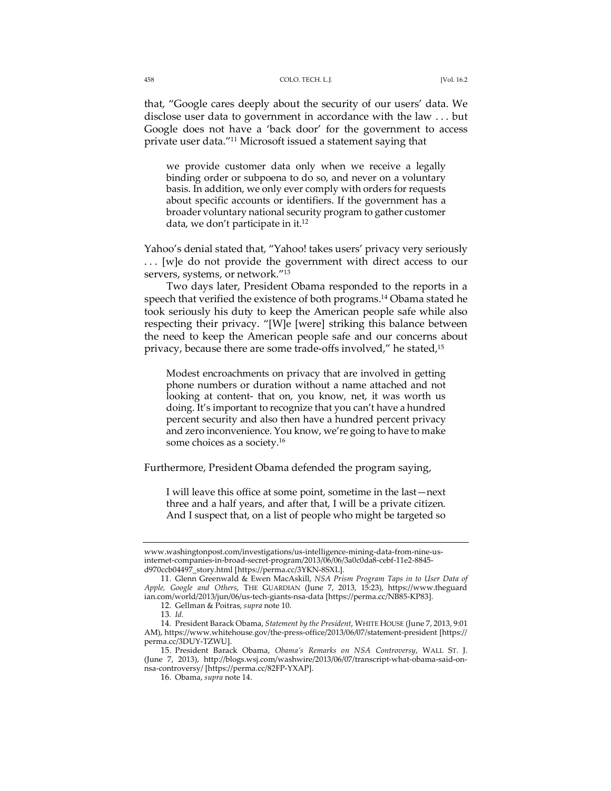that, "Google cares deeply about the security of our users' data. We disclose user data to government in accordance with the law . . . but Google does not have a 'back door' for the government to access private user data."11 Microsoft issued a statement saying that

we provide customer data only when we receive a legally binding order or subpoena to do so, and never on a voluntary basis. In addition, we only ever comply with orders for requests about specific accounts or identifiers. If the government has a broader voluntary national security program to gather customer data, we don't participate in it.<sup>12</sup>

Yahoo's denial stated that, "Yahoo! takes users' privacy very seriously . . . [w]e do not provide the government with direct access to our servers, systems, or network."13

Two days later, President Obama responded to the reports in a speech that verified the existence of both programs.<sup>14</sup> Obama stated he took seriously his duty to keep the American people safe while also respecting their privacy. "[W]e [were] striking this balance between the need to keep the American people safe and our concerns about privacy, because there are some trade-offs involved," he stated,15

Modest encroachments on privacy that are involved in getting phone numbers or duration without a name attached and not looking at content- that on, you know, net, it was worth us doing. It's important to recognize that you can't have a hundred percent security and also then have a hundred percent privacy and zero inconvenience. You know, we're going to have to make some choices as a society.16

Furthermore, President Obama defended the program saying,

I will leave this office at some point, sometime in the last—next three and a half years, and after that, I will be a private citizen. And I suspect that, on a list of people who might be targeted so

www.washingtonpost.com/investigations/us-intelligence-mining-data-from-nine-usinternet-companies-in-broad-secret-program/2013/06/06/3a0c0da8-cebf-11e2-8845 d970ccb04497\_story.html [https://perma.cc/3YKN-8SXL].

<sup>11.</sup> Glenn Greenwald & Ewen MacAskill, *NSA Prism Program Taps in to User Data of Apple, Google and Others*, THE GUARDIAN (June 7, 2013, 15:23), https://www.theguard ian.com/world/2013/jun/06/us-tech-giants-nsa-data [https://perma.cc/NB85-KP83].

<sup>12.</sup> Gellman & Poitras, *supra* note 10.

<sup>13</sup>*. Id.*

<sup>14.</sup> President Barack Obama, *Statement by the President*, WHITE HOUSE (June 7, 2013, 9:01 AM), https://www.whitehouse.gov/the-press-office/2013/06/07/statement-president [https:// perma.cc/3DUY-TZWU].

<sup>15.</sup> President Barack Obama, *Obama's Remarks on NSA Controversy*, WALL ST. J. (June 7, 2013), http://blogs.wsj.com/washwire/2013/06/07/transcript-what-obama-said-onnsa-controversy/ [https://perma.cc/82FP-YXAP].

<sup>16.</sup> Obama, *supra* note 14.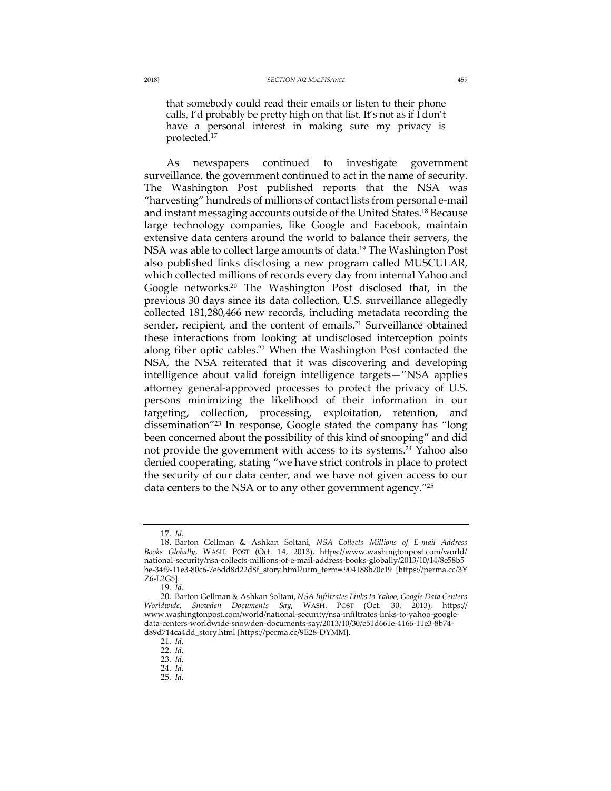that somebody could read their emails or listen to their phone calls, I'd probably be pretty high on that list. It's not as if I don't have a personal interest in making sure my privacy is protected.17

As newspapers continued to investigate government surveillance, the government continued to act in the name of security. The Washington Post published reports that the NSA was "harvesting" hundreds of millions of contact lists from personal e-mail and instant messaging accounts outside of the United States.<sup>18</sup> Because large technology companies, like Google and Facebook, maintain extensive data centers around the world to balance their servers, the NSA was able to collect large amounts of data.<sup>19</sup> The Washington Post also published links disclosing a new program called MUSCULAR, which collected millions of records every day from internal Yahoo and Google networks.20 The Washington Post disclosed that, in the previous 30 days since its data collection, U.S. surveillance allegedly collected 181,280,466 new records, including metadata recording the sender, recipient, and the content of emails.<sup>21</sup> Surveillance obtained these interactions from looking at undisclosed interception points along fiber optic cables.<sup>22</sup> When the Washington Post contacted the NSA, the NSA reiterated that it was discovering and developing intelligence about valid foreign intelligence targets—"NSA applies attorney general-approved processes to protect the privacy of U.S. persons minimizing the likelihood of their information in our targeting, collection, processing, exploitation, retention, and dissemination"23 In response, Google stated the company has "long been concerned about the possibility of this kind of snooping" and did not provide the government with access to its systems.<sup>24</sup> Yahoo also denied cooperating, stating "we have strict controls in place to protect the security of our data center, and we have not given access to our data centers to the NSA or to any other government agency."<sup>25</sup>

<sup>17</sup>*. Id.*

<sup>18.</sup> Barton Gellman & Ashkan Soltani, *NSA Collects Millions of E-mail Address Books Globally*, WASH. POST (Oct. 14, 2013), https://www.washingtonpost.com/world/ national-security/nsa-collects-millions-of-e-mail-address-books-globally/2013/10/14/8e58b5 be-34f9-11e3-80c6-7e6dd8d22d8f\_story.html?utm\_term=.904188b70c19 [https://perma.cc/3Y Z6-L2G5].

<sup>19</sup>*. Id.*

<sup>20.</sup> Barton Gellman & Ashkan Soltani, *NSA Infiltrates Links to Yahoo, Google Data Centers Worldwide, Snowden Documents Say*, WASH. POST (Oct. 30, 2013), https:// www.washingtonpost.com/world/national-security/nsa-infiltrates-links-to-yahoo-googledata-centers-worldwide-snowden-documents-say/2013/10/30/e51d661e-4166-11e3-8b74 d89d714ca4dd\_story.html [https://perma.cc/9E28-DYMM].

<sup>21</sup>*. Id.*

<sup>22</sup>*. Id.*

<sup>23</sup>*. Id.*

<sup>24</sup>*. Id.*

<sup>25</sup>*. Id.*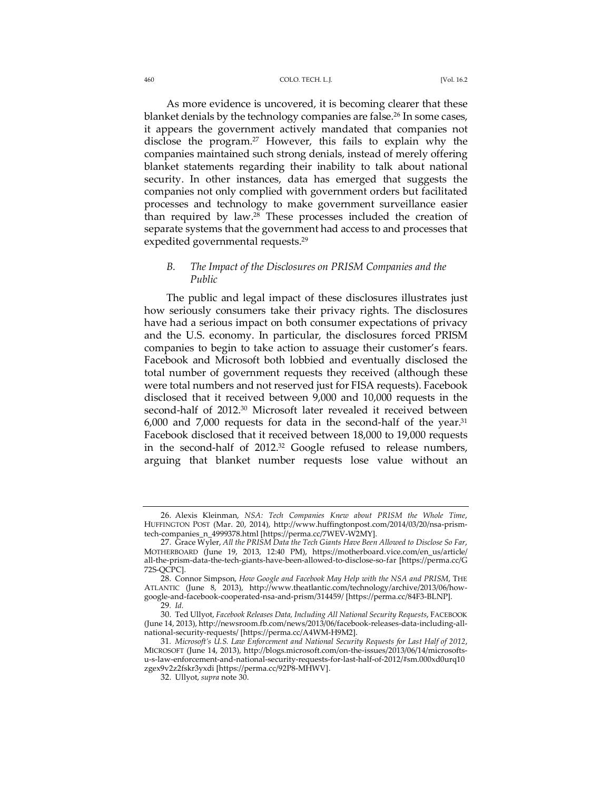#### 460 COLO. TECH. L.J. [Vol. 16.2

As more evidence is uncovered, it is becoming clearer that these blanket denials by the technology companies are false.<sup>26</sup> In some cases, it appears the government actively mandated that companies not disclose the program.27 However, this fails to explain why the companies maintained such strong denials, instead of merely offering blanket statements regarding their inability to talk about national security. In other instances, data has emerged that suggests the companies not only complied with government orders but facilitated processes and technology to make government surveillance easier than required by law.28 These processes included the creation of separate systems that the government had access to and processes that expedited governmental requests.<sup>29</sup>

## *B. The Impact of the Disclosures on PRISM Companies and the Public*

The public and legal impact of these disclosures illustrates just how seriously consumers take their privacy rights. The disclosures have had a serious impact on both consumer expectations of privacy and the U.S. economy. In particular, the disclosures forced PRISM companies to begin to take action to assuage their customer's fears. Facebook and Microsoft both lobbied and eventually disclosed the total number of government requests they received (although these were total numbers and not reserved just for FISA requests). Facebook disclosed that it received between 9,000 and 10,000 requests in the second-half of 2012.30 Microsoft later revealed it received between  $6,000$  and  $7,000$  requests for data in the second-half of the year.<sup>31</sup> Facebook disclosed that it received between 18,000 to 19,000 requests in the second-half of 2012.32 Google refused to release numbers, arguing that blanket number requests lose value without an

<sup>26.</sup> Alexis Kleinman, *NSA: Tech Companies Knew about PRISM the Whole Time*, HUFFINGTON POST (Mar. 20, 2014), http://www.huffingtonpost.com/2014/03/20/nsa-prismtech-companies\_n\_4999378.html [https://perma.cc/7WEV-W2MY].

<sup>27.</sup> Grace Wyler, *All the PRISM Data the Tech Giants Have Been Allowed to Disclose So Far*, MOTHERBOARD (June 19, 2013, 12:40 PM), https://motherboard.vice.com/en\_us/article/ all-the-prism-data-the-tech-giants-have-been-allowed-to-disclose-so-far [https://perma.cc/G 72S-QCPC].

<sup>28.</sup> Connor Simpson, *How Google and Facebook May Help with the NSA and PRISM*, THE ATLANTIC (June 8, 2013), http://www.theatlantic.com/technology/archive/2013/06/howgoogle-and-facebook-cooperated-nsa-and-prism/314459/ [https://perma.cc/84F3-BLNP].

<sup>29</sup>*. Id.*

<sup>30.</sup> Ted Ullyot, *Facebook Releases Data, Including All National Security Requests*, FACEBOOK (June 14, 2013), http://newsroom.fb.com/news/2013/06/facebook-releases-data-including-allnational-security-requests/ [https://perma.cc/A4WM-H9M2].

<sup>31</sup>*. Microsoft's U.S. Law Enforcement and National Security Requests for Last Half of 2012*, MICROSOFT (June 14, 2013), http://blogs.microsoft.com/on-the-issues/2013/06/14/microsoftsu-s-law-enforcement-and-national-security-requests-for-last-half-of-2012/#sm.000xd0urq10 zgex9v2z2fskr3yxdi [https://perma.cc/92P8-MHWV].

<sup>32.</sup> Ullyot, *supra* note 30.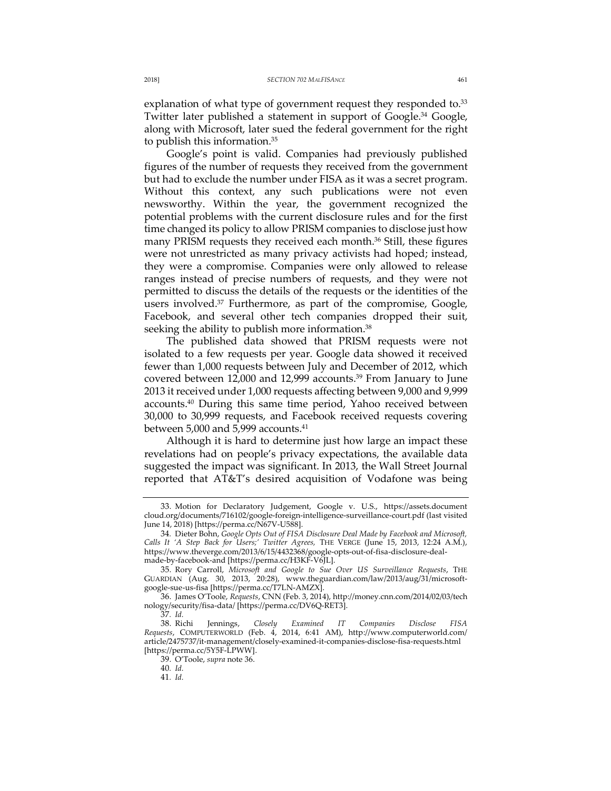explanation of what type of government request they responded to.<sup>33</sup> Twitter later published a statement in support of Google.<sup>34</sup> Google, along with Microsoft, later sued the federal government for the right to publish this information.35

Google's point is valid. Companies had previously published figures of the number of requests they received from the government but had to exclude the number under FISA as it was a secret program. Without this context, any such publications were not even newsworthy. Within the year, the government recognized the potential problems with the current disclosure rules and for the first time changed its policy to allow PRISM companies to disclose just how many PRISM requests they received each month.<sup>36</sup> Still, these figures were not unrestricted as many privacy activists had hoped; instead, they were a compromise. Companies were only allowed to release ranges instead of precise numbers of requests, and they were not permitted to discuss the details of the requests or the identities of the users involved.<sup>37</sup> Furthermore, as part of the compromise, Google, Facebook, and several other tech companies dropped their suit, seeking the ability to publish more information.<sup>38</sup>

The published data showed that PRISM requests were not isolated to a few requests per year. Google data showed it received fewer than 1,000 requests between July and December of 2012, which covered between 12,000 and 12,999 accounts.<sup>39</sup> From January to June 2013 it received under 1,000 requests affecting between 9,000 and 9,999 accounts.40 During this same time period, Yahoo received between 30,000 to 30,999 requests, and Facebook received requests covering between 5,000 and 5,999 accounts.<sup>41</sup>

Although it is hard to determine just how large an impact these revelations had on people's privacy expectations, the available data suggested the impact was significant. In 2013, the Wall Street Journal reported that AT&T's desired acquisition of Vodafone was being

<sup>33.</sup> Motion for Declaratory Judgement, Google v. U.S., https://assets.document cloud.org/documents/716102/google-foreign-intelligence-surveillance-court.pdf (last visited June 14, 2018) [https://perma.cc/N67V-U588].

<sup>34</sup>*.* Dieter Bohn, *Google Opts Out of FISA Disclosure Deal Made by Facebook and Microsoft, Calls It 'A Step Back for Users;' Twitter Agrees,* THE VERGE (June 15, 2013, 12:24 A.M.), https://www.theverge.com/2013/6/15/4432368/google-opts-out-of-fisa-disclosure-dealmade-by-facebook-and [https://perma.cc/H3KF-V6JL].

<sup>35.</sup> Rory Carroll, *Microsoft and Google to Sue Over US Surveillance Requests*, THE GUARDIAN (Aug. 30, 2013, 20:28), www.theguardian.com/law/2013/aug/31/microsoftgoogle-sue-us-fisa [https://perma.cc/T7LN-AMZX].

<sup>36.</sup> James O'Toole, *Requests*, CNN (Feb. 3, 2014), http://money.cnn.com/2014/02/03/tech nology/security/fisa-data/ [https://perma.cc/DV6Q-RET3].

<sup>37</sup>*. Id.*

<sup>38.</sup> Richi Jennings, *Closely Examined IT Companies Disclose FISA Requests*, COMPUTERWORLD (Feb. 4, 2014, 6:41 AM), http://www.computerworld.com/ article/2475737/it-management/closely-examined-it-companies-disclose-fisa-requests.html [https://perma.cc/5Y5F-LPWW].

<sup>39.</sup> O'Toole, *supra* note 36.

<sup>40</sup>*. Id.*

<sup>41</sup>*. Id.*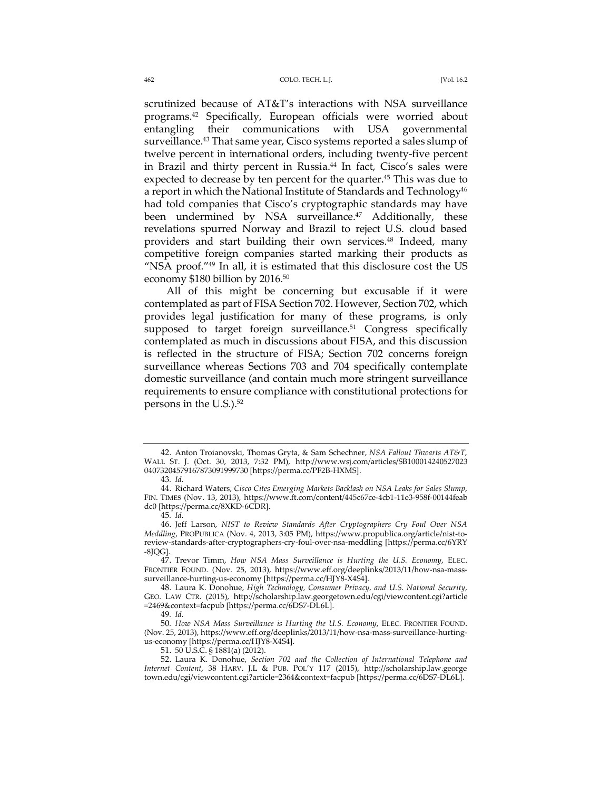#### 462 COLO. TECH. L.J. [Vol. 16.2

scrutinized because of AT&T's interactions with NSA surveillance programs.42 Specifically, European officials were worried about entangling their communications with USA governmental surveillance.<sup>43</sup> That same year, Cisco systems reported a sales slump of twelve percent in international orders, including twenty-five percent in Brazil and thirty percent in Russia.<sup>44</sup> In fact, Cisco's sales were expected to decrease by ten percent for the quarter.<sup>45</sup> This was due to a report in which the National Institute of Standards and Technology $46$ had told companies that Cisco's cryptographic standards may have been undermined by NSA surveillance.<sup>47</sup> Additionally, these revelations spurred Norway and Brazil to reject U.S. cloud based providers and start building their own services.<sup>48</sup> Indeed, many competitive foreign companies started marking their products as "NSA proof."49 In all, it is estimated that this disclosure cost the US economy \$180 billion by 2016.<sup>50</sup>

All of this might be concerning but excusable if it were contemplated as part of FISA Section 702. However, Section 702, which provides legal justification for many of these programs, is only supposed to target foreign surveillance.<sup>51</sup> Congress specifically contemplated as much in discussions about FISA, and this discussion is reflected in the structure of FISA; Section 702 concerns foreign surveillance whereas Sections 703 and 704 specifically contemplate domestic surveillance (and contain much more stringent surveillance requirements to ensure compliance with constitutional protections for persons in the U.S.).52

<sup>42.</sup> Anton Troianovski, Thomas Gryta, & Sam Schechner, *NSA Fallout Thwarts AT&T*, WALL ST. J. (Oct. 30, 2013, 7:32 PM), http://www.wsj.com/articles/SB100014240527023 04073204579167873091999730 [https://perma.cc/PF2B-HXMS].

<sup>43</sup>*. Id.*

<sup>44.</sup> Richard Waters, *Cisco Cites Emerging Markets Backlash on NSA Leaks for Sales Slump*, FIN. TIMES (Nov. 13, 2013), https://www.ft.com/content/445c67ce-4cb1-11e3-958f-00144feab dc0 [https://perma.cc/8XKD-6CDR].

<sup>45</sup>*. Id.*

<sup>46.</sup> Jeff Larson, *NIST to Review Standards After Cryptographers Cry Foul Over NSA Meddling*, PROPUBLICA (Nov. 4, 2013, 3:05 PM), https://www.propublica.org/article/nist-toreview-standards-after-cryptographers-cry-foul-over-nsa-meddling [https://perma.cc/6YRY -8JQG].

<sup>47.</sup> Trevor Timm, *How NSA Mass Surveillance is Hurting the U.S. Economy*, ELEC. FRONTIER FOUND. (Nov. 25, 2013), https://www.eff.org/deeplinks/2013/11/how-nsa-masssurveillance-hurting-us-economy [https://perma.cc/HJY8-X4S4].

<sup>48.</sup> Laura K. Donohue, *High Technology, Consumer Privacy, and U.S. National Security*, GEO. LAW CTR. (2015), http://scholarship.law.georgetown.edu/cgi/viewcontent.cgi?article =2469&context=facpub [https://perma.cc/6DS7-DL6L].

<sup>49</sup>*. Id.*

<sup>50</sup>*. How NSA Mass Surveillance is Hurting the U.S. Economy*, ELEC. FRONTIER FOUND. (Nov. 25, 2013), https://www.eff.org/deeplinks/2013/11/how-nsa-mass-surveillance-hurtingus-economy [https://perma.cc/HJY8-X4S4].

<sup>51.</sup> 50 U.S.C. § 1881(a) (2012).

<sup>52.</sup> Laura K. Donohue, *Section 702 and the Collection of International Telephone and Internet Content*, 38 HARV. J.L & PUB. POL'Y 117 (2015), http://scholarship.law.george town.edu/cgi/viewcontent.cgi?article=2364&context=facpub [https://perma.cc/6DS7-DL6L].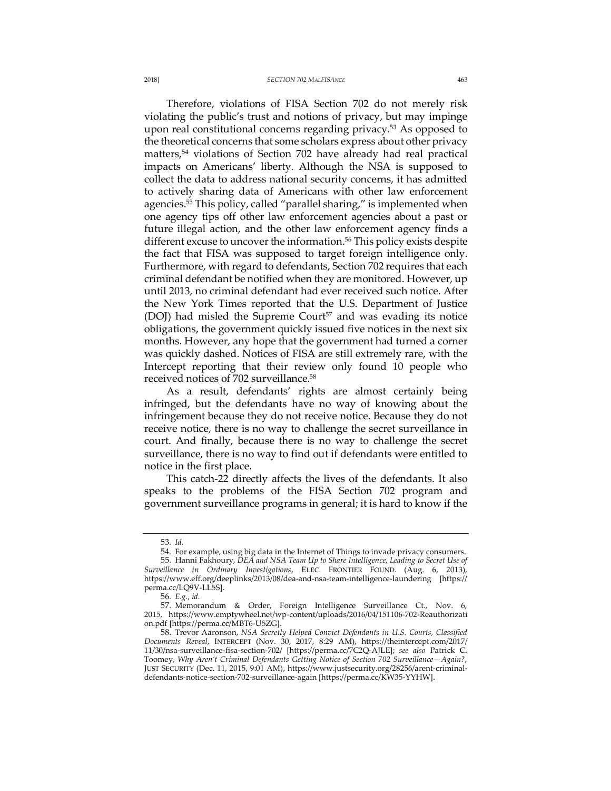#### 2018] *SECTION 702 MALFISANCE* 463

Therefore, violations of FISA Section 702 do not merely risk violating the public's trust and notions of privacy, but may impinge upon real constitutional concerns regarding privacy.<sup>53</sup> As opposed to the theoretical concerns that some scholars express about other privacy matters,<sup>54</sup> violations of Section 702 have already had real practical impacts on Americans' liberty. Although the NSA is supposed to collect the data to address national security concerns, it has admitted to actively sharing data of Americans with other law enforcement agencies.<sup>55</sup> This policy, called "parallel sharing," is implemented when one agency tips off other law enforcement agencies about a past or future illegal action, and the other law enforcement agency finds a different excuse to uncover the information.<sup>56</sup> This policy exists despite the fact that FISA was supposed to target foreign intelligence only. Furthermore, with regard to defendants, Section 702 requires that each criminal defendant be notified when they are monitored. However, up until 2013, no criminal defendant had ever received such notice. After the New York Times reported that the U.S. Department of Justice (DOJ) had misled the Supreme Court<sup>57</sup> and was evading its notice obligations, the government quickly issued five notices in the next six months. However, any hope that the government had turned a corner was quickly dashed. Notices of FISA are still extremely rare, with the Intercept reporting that their review only found 10 people who received notices of 702 surveillance.58

As a result, defendants' rights are almost certainly being infringed, but the defendants have no way of knowing about the infringement because they do not receive notice. Because they do not receive notice, there is no way to challenge the secret surveillance in court. And finally, because there is no way to challenge the secret surveillance, there is no way to find out if defendants were entitled to notice in the first place.

This catch-22 directly affects the lives of the defendants. It also speaks to the problems of the FISA Section 702 program and government surveillance programs in general; it is hard to know if the

<sup>53</sup>*. Id.*

<sup>54</sup>*.* For example, using big data in the Internet of Things to invade privacy consumers. 55. Hanni Fakhoury, *DEA and NSA Team Up to Share Intelligence, Leading to Secret Use of Surveillance in Ordinary Investigations*, ELEC. FRONTIER FOUND. (Aug. 6, 2013), https://www.eff.org/deeplinks/2013/08/dea-and-nsa-team-intelligence-laundering [https:// perma.cc/LQ9V-LL5S].

<sup>56</sup>*. E.g.*, *id.*

<sup>57.</sup> Memorandum & Order, Foreign Intelligence Surveillance Ct., Nov. 6, 2015, https://www.emptywheel.net/wp-content/uploads/2016/04/151106-702-Reauthorizati on.pdf [https://perma.cc/MBT6-U5ZG].

<sup>58.</sup> Trevor Aaronson, *NSA Secretly Helped Convict Defendants in U.S. Courts, Classified Documents Reveal*, INTERCEPT (Nov. 30, 2017, 8:29 AM), https://theintercept.com/2017/ 11/30/nsa-surveillance-fisa-section-702/ [https://perma.cc/7C2Q-AJLE]; *see also* Patrick C. Toomey, *Why Aren't Criminal Defendants Getting Notice of Section 702 Surveillance—Again?*, JUST SECURITY (Dec. 11, 2015, 9:01 AM), https://www.justsecurity.org/28256/arent-criminaldefendants-notice-section-702-surveillance-again [https://perma.cc/KW35-YYHW].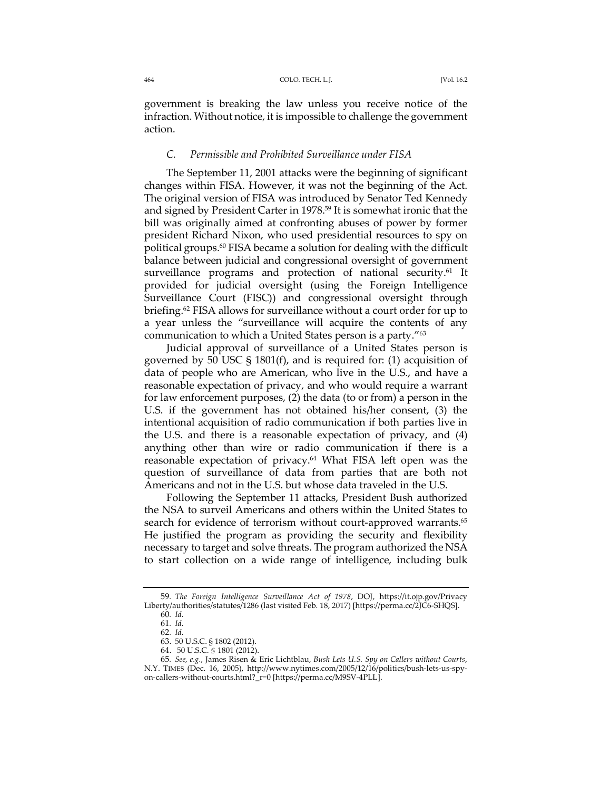government is breaking the law unless you receive notice of the infraction. Without notice, it is impossible to challenge the government action.

### *C. Permissible and Prohibited Surveillance under FISA*

The September 11, 2001 attacks were the beginning of significant changes within FISA. However, it was not the beginning of the Act. The original version of FISA was introduced by Senator Ted Kennedy and signed by President Carter in 1978.59 It is somewhat ironic that the bill was originally aimed at confronting abuses of power by former president Richard Nixon, who used presidential resources to spy on political groups.60 FISA became a solution for dealing with the difficult balance between judicial and congressional oversight of government surveillance programs and protection of national security.<sup>61</sup> It provided for judicial oversight (using the Foreign Intelligence Surveillance Court (FISC)) and congressional oversight through briefing.62 FISA allows for surveillance without a court order for up to a year unless the "surveillance will acquire the contents of any communication to which a United States person is a party."63

Judicial approval of surveillance of a United States person is governed by 50 USC § 1801(f), and is required for: (1) acquisition of data of people who are American, who live in the U.S., and have a reasonable expectation of privacy, and who would require a warrant for law enforcement purposes, (2) the data (to or from) a person in the U.S. if the government has not obtained his/her consent, (3) the intentional acquisition of radio communication if both parties live in the U.S. and there is a reasonable expectation of privacy, and (4) anything other than wire or radio communication if there is a reasonable expectation of privacy.64 What FISA left open was the question of surveillance of data from parties that are both not Americans and not in the U.S. but whose data traveled in the U.S.

Following the September 11 attacks, President Bush authorized the NSA to surveil Americans and others within the United States to search for evidence of terrorism without court-approved warrants.<sup>65</sup> He justified the program as providing the security and flexibility necessary to target and solve threats. The program authorized the NSA to start collection on a wide range of intelligence, including bulk

<sup>59</sup>*. The Foreign Intelligence Surveillance Act of 1978*, DOJ, https://it.ojp.gov/Privacy Liberty/authorities/statutes/1286 (last visited Feb. 18, 2017) [https://perma.cc/2JC6-SHQS]. 60*. Id.*

<sup>61</sup>*. Id.*

<sup>62</sup>*. Id.*

<sup>63.</sup> 50 U.S.C. § 1802 (2012). 64. 50 U.S.C. § 1801 (2012).

<sup>65</sup>*. See, e.g.*, James Risen & Eric Lichtblau, *Bush Lets U.S. Spy on Callers without Courts*, N.Y. TIMES (Dec. 16, 2005), http://www.nytimes.com/2005/12/16/politics/bush-lets-us-spyon-callers-without-courts.html?\_r=0 [https://perma.cc/M9SV-4PLL].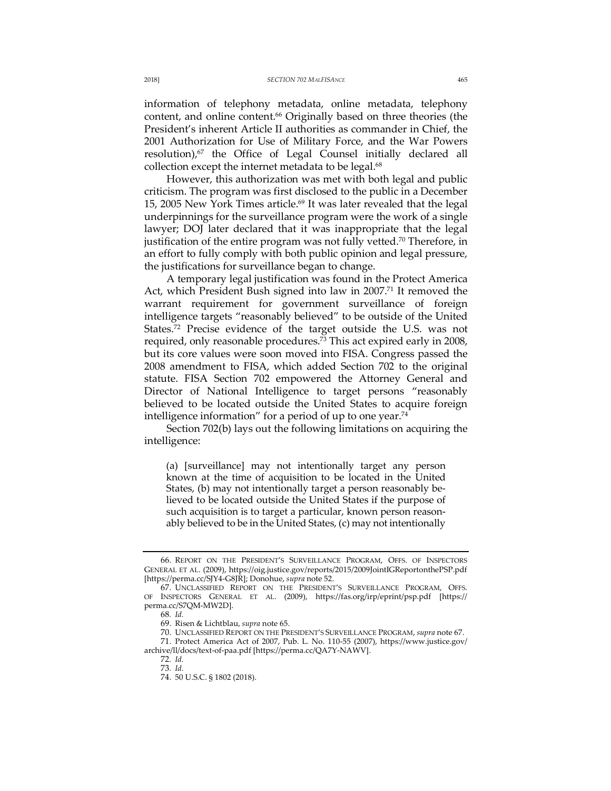information of telephony metadata, online metadata, telephony content, and online content.<sup>66</sup> Originally based on three theories (the President's inherent Article II authorities as commander in Chief, the 2001 Authorization for Use of Military Force, and the War Powers resolution) $n^{67}$  the Office of Legal Counsel initially declared all collection except the internet metadata to be legal.<sup>68</sup>

However, this authorization was met with both legal and public criticism. The program was first disclosed to the public in a December 15, 2005 New York Times article.<sup>69</sup> It was later revealed that the legal underpinnings for the surveillance program were the work of a single lawyer; DOJ later declared that it was inappropriate that the legal justification of the entire program was not fully vetted.<sup>70</sup> Therefore, in an effort to fully comply with both public opinion and legal pressure, the justifications for surveillance began to change.

A temporary legal justification was found in the Protect America Act, which President Bush signed into law in 2007.<sup>71</sup> It removed the warrant requirement for government surveillance of foreign intelligence targets "reasonably believed" to be outside of the United States.72 Precise evidence of the target outside the U.S. was not required, only reasonable procedures.<sup>73</sup> This act expired early in 2008, but its core values were soon moved into FISA. Congress passed the 2008 amendment to FISA, which added Section 702 to the original statute. FISA Section 702 empowered the Attorney General and Director of National Intelligence to target persons "reasonably believed to be located outside the United States to acquire foreign intelligence information" for a period of up to one year.<sup>74</sup>

Section 702(b) lays out the following limitations on acquiring the intelligence:

(a) [surveillance] may not intentionally target any person known at the time of acquisition to be located in the United States, (b) may not intentionally target a person reasonably believed to be located outside the United States if the purpose of such acquisition is to target a particular, known person reasonably believed to be in the United States, (c) may not intentionally

<sup>66.</sup> REPORT ON THE PRESIDENT'S SURVEILLANCE PROGRAM, OFFS. OF INSPECTORS GENERAL ET AL. (2009), https://oig.justice.gov/reports/2015/2009JointIGReportonthePSP.pdf [https://perma.cc/SJY4-G8JR]; Donohue, *supra* note 52.

<sup>67.</sup> UNCLASSIFIED REPORT ON THE PRESIDENT'S SURVEILLANCE PROGRAM, OFFS. OF INSPECTORS GENERAL ET AL. (2009), https://fas.org/irp/eprint/psp.pdf [https:// perma.cc/S7QM-MW2D].

<sup>68</sup>*. Id.*

<sup>69.</sup> Risen & Lichtblau, *supra* note 65.

<sup>70.</sup> UNCLASSIFIED REPORT ON THE PRESIDENT'S SURVEILLANCE PROGRAM, *supra* note 67. 71. Protect America Act of 2007, Pub. L. No. 110-55 (2007), https://www.justice.gov/ archive/ll/docs/text-of-paa.pdf [https://perma.cc/QA7Y-NAWV].

<sup>72</sup>*. Id.*

<sup>73</sup>*. Id.*

<sup>74.</sup> 50 U.S.C. § 1802 (2018).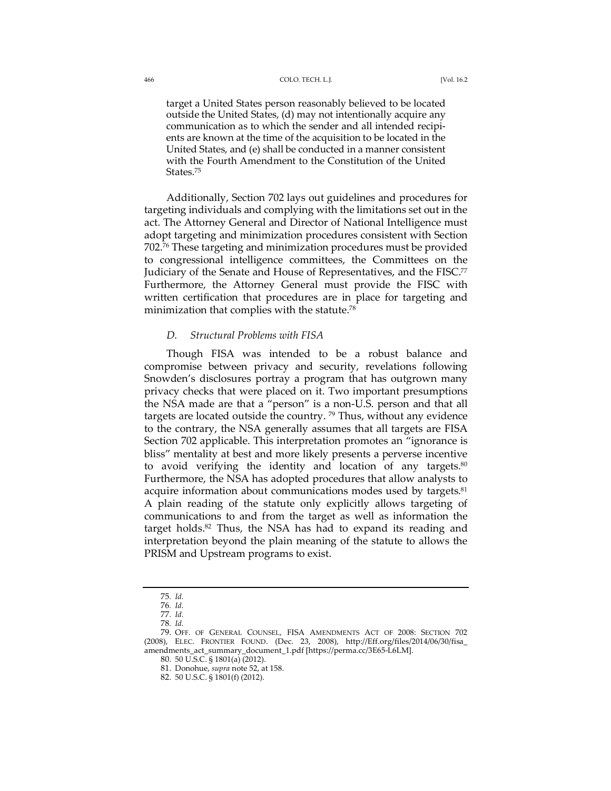#### 466 COLO. TECH. L.J. [Vol. 16.2

target a United States person reasonably believed to be located outside the United States, (d) may not intentionally acquire any communication as to which the sender and all intended recipients are known at the time of the acquisition to be located in the United States, and (e) shall be conducted in a manner consistent with the Fourth Amendment to the Constitution of the United States.75

Additionally, Section 702 lays out guidelines and procedures for targeting individuals and complying with the limitations set out in the act. The Attorney General and Director of National Intelligence must adopt targeting and minimization procedures consistent with Section 702.76 These targeting and minimization procedures must be provided to congressional intelligence committees, the Committees on the Judiciary of the Senate and House of Representatives, and the FISC.<sup>77</sup> Furthermore, the Attorney General must provide the FISC with written certification that procedures are in place for targeting and minimization that complies with the statute.<sup>78</sup>

## *D. Structural Problems with FISA*

Though FISA was intended to be a robust balance and compromise between privacy and security, revelations following Snowden's disclosures portray a program that has outgrown many privacy checks that were placed on it. Two important presumptions the NSA made are that a "person" is a non-U.S. person and that all targets are located outside the country.<sup>79</sup> Thus, without any evidence to the contrary, the NSA generally assumes that all targets are FISA Section 702 applicable. This interpretation promotes an "ignorance is bliss" mentality at best and more likely presents a perverse incentive to avoid verifying the identity and location of any targets.<sup>80</sup> Furthermore, the NSA has adopted procedures that allow analysts to acquire information about communications modes used by targets.<sup>81</sup> A plain reading of the statute only explicitly allows targeting of communications to and from the target as well as information the target holds.<sup>82</sup> Thus, the NSA has had to expand its reading and interpretation beyond the plain meaning of the statute to allows the PRISM and Upstream programs to exist.

<sup>75</sup>*. Id.*

<sup>76</sup>*. Id.*

<sup>77</sup>*. Id.* 78*. Id.*

<sup>79.</sup> OFF. OF GENERAL COUNSEL, FISA AMENDMENTS ACT OF 2008: SECTION 702 (2008), ELEC. FRONTIER FOUND. (Dec. 23, 2008), http://Eff.org/files/2014/06/30/fisa\_ amendments\_act\_summary\_document\_1.pdf [https://perma.cc/3E65-L6LM].

<sup>80.</sup> 50 U.S.C. § 1801(a) (2012).

<sup>81.</sup> Donohue, *supra* note 52, at 158.

<sup>82.</sup> 50 U.S.C. § 1801(f) (2012).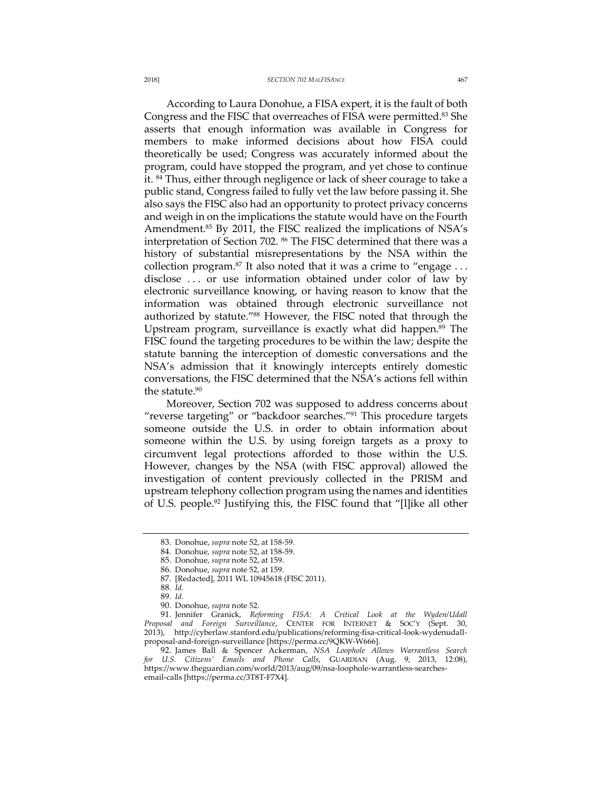#### 2018] *SECTION 702 MALFISANCE* 467

According to Laura Donohue, a FISA expert, it is the fault of both Congress and the FISC that overreaches of FISA were permitted.83 She asserts that enough information was available in Congress for members to make informed decisions about how FISA could theoretically be used; Congress was accurately informed about the program, could have stopped the program, and yet chose to continue it. 84 Thus, either through negligence or lack of sheer courage to take a public stand, Congress failed to fully vet the law before passing it. She also says the FISC also had an opportunity to protect privacy concerns and weigh in on the implications the statute would have on the Fourth Amendment.<sup>85</sup> By 2011, the FISC realized the implications of NSA's interpretation of Section 702. <sup>86</sup> The FISC determined that there was a history of substantial misrepresentations by the NSA within the collection program.<sup>87</sup> It also noted that it was a crime to "engage  $\dots$ disclose . . . or use information obtained under color of law by electronic surveillance knowing, or having reason to know that the information was obtained through electronic surveillance not authorized by statute."88 However, the FISC noted that through the Upstream program, surveillance is exactly what did happen.89 The FISC found the targeting procedures to be within the law; despite the statute banning the interception of domestic conversations and the NSA's admission that it knowingly intercepts entirely domestic conversations, the FISC determined that the NSA's actions fell within the statute.<sup>90</sup>

Moreover, Section 702 was supposed to address concerns about "reverse targeting" or "backdoor searches."<sup>91</sup> This procedure targets someone outside the U.S. in order to obtain information about someone within the U.S. by using foreign targets as a proxy to circumvent legal protections afforded to those within the U.S. However, changes by the NSA (with FISC approval) allowed the investigation of content previously collected in the PRISM and upstream telephony collection program using the names and identities of U.S. people.92 Justifying this, the FISC found that "[l]ike all other

<sup>83.</sup> Donohue, *supra* note 52, at 158-59.

<sup>84.</sup> Donohue, *supra* note 52, at 158-59.

<sup>85.</sup> Donohue, *supra* note 52, at 159.

<sup>86.</sup> Donohue, *supra* note 52, at 159.

<sup>87.</sup> [Redacted], 2011 WL 10945618 (FISC 2011).

<sup>88</sup>*. Id.*

<sup>89</sup>*. Id.*

<sup>90.</sup> Donohue, *supra* note 52.

<sup>91.</sup> Jennifer Granick, *Reforming FISA: A Critical Look at the Wyden/Udall Proposal and Foreign Surveillance*, CENTER FOR INTERNET & SOC'Y (Sept. 30, 2013), http://cyberlaw.stanford.edu/publications/reforming-fisa-critical-look-wydenudallproposal-and-foreign-surveillance [https://perma.cc/9QKW-W666].

<sup>92.</sup> James Ball & Spencer Ackerman, *NSA Loophole Allows Warrantless Search for U.S. Citizens' Emails and Phone Calls*, GUARDIAN (Aug. 9, 2013, 12:08), https://www.theguardian.com/world/2013/aug/09/nsa-loophole-warrantless-searchesemail-calls [https://perma.cc/3T8T-F7X4].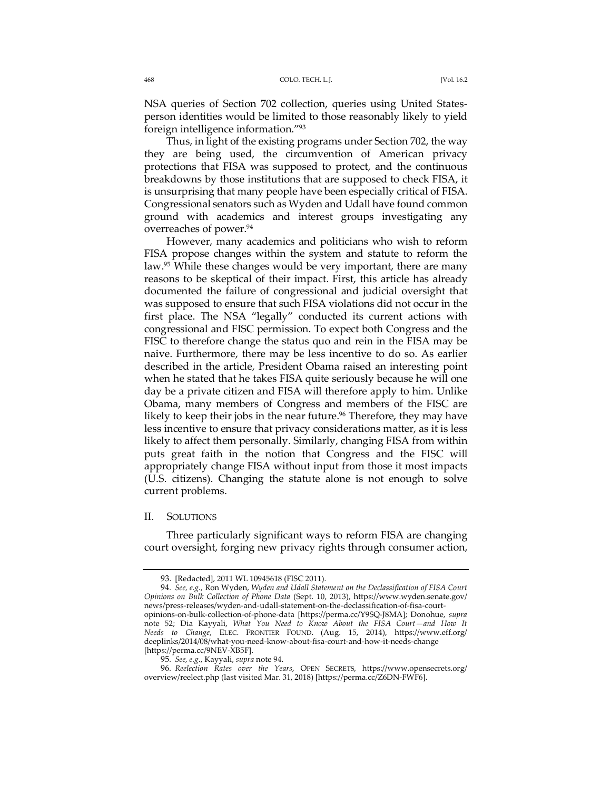NSA queries of Section 702 collection, queries using United Statesperson identities would be limited to those reasonably likely to yield foreign intelligence information."93

Thus, in light of the existing programs under Section 702, the way they are being used, the circumvention of American privacy protections that FISA was supposed to protect, and the continuous breakdowns by those institutions that are supposed to check FISA, it is unsurprising that many people have been especially critical of FISA. Congressional senators such as Wyden and Udall have found common ground with academics and interest groups investigating any overreaches of power.<sup>94</sup>

However, many academics and politicians who wish to reform FISA propose changes within the system and statute to reform the law.95 While these changes would be very important, there are many reasons to be skeptical of their impact. First, this article has already documented the failure of congressional and judicial oversight that was supposed to ensure that such FISA violations did not occur in the first place. The NSA "legally" conducted its current actions with congressional and FISC permission. To expect both Congress and the FISC to therefore change the status quo and rein in the FISA may be naive. Furthermore, there may be less incentive to do so. As earlier described in the article, President Obama raised an interesting point when he stated that he takes FISA quite seriously because he will one day be a private citizen and FISA will therefore apply to him. Unlike Obama, many members of Congress and members of the FISC are likely to keep their jobs in the near future.<sup>96</sup> Therefore, they may have less incentive to ensure that privacy considerations matter, as it is less likely to affect them personally. Similarly, changing FISA from within puts great faith in the notion that Congress and the FISC will appropriately change FISA without input from those it most impacts (U.S. citizens). Changing the statute alone is not enough to solve current problems.

#### II. SOLUTIONS

Three particularly significant ways to reform FISA are changing court oversight, forging new privacy rights through consumer action,

<sup>93.</sup> [Redacted], 2011 WL 10945618 (FISC 2011).

<sup>94</sup>*. See, e.g.*, Ron Wyden, *Wyden and Udall Statement on the Declassification of FISA Court Opinions on Bulk Collection of Phone Data* (Sept. 10, 2013), https://www.wyden.senate.gov/ news/press-releases/wyden-and-udall-statement-on-the-declassification-of-fisa-courtopinions-on-bulk-collection-of-phone-data [https://perma.cc/Y9SQ-J8MA]; Donohue, *supra* note 52; Dia Kayyali, *What You Need to Know About the FISA Court—and How It Needs to Change*, ELEC. FRONTIER FOUND. (Aug. 15, 2014), https://www.eff.org/ deeplinks/2014/08/what-you-need-know-about-fisa-court-and-how-it-needs-change

<sup>[</sup>https://perma.cc/9NEV-XB5F].

<sup>95</sup>*. See, e.g.*, Kayyali, *supra* note 94.

<sup>96</sup>*. Reelection Rates over the Years*, OPEN SECRETS, https://www.opensecrets.org/ overview/reelect.php (last visited Mar. 31, 2018) [https://perma.cc/Z6DN-FWF6].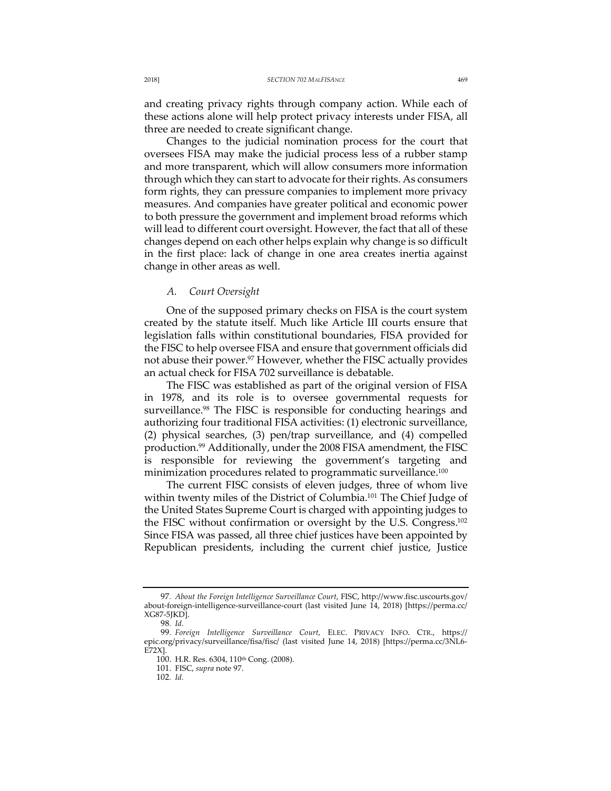and creating privacy rights through company action. While each of these actions alone will help protect privacy interests under FISA, all three are needed to create significant change.

Changes to the judicial nomination process for the court that oversees FISA may make the judicial process less of a rubber stamp and more transparent, which will allow consumers more information through which they can start to advocate for their rights. As consumers form rights, they can pressure companies to implement more privacy measures. And companies have greater political and economic power to both pressure the government and implement broad reforms which will lead to different court oversight. However, the fact that all of these changes depend on each other helps explain why change is so difficult in the first place: lack of change in one area creates inertia against change in other areas as well.

### *A. Court Oversight*

One of the supposed primary checks on FISA is the court system created by the statute itself. Much like Article III courts ensure that legislation falls within constitutional boundaries, FISA provided for the FISC to help oversee FISA and ensure that government officials did not abuse their power.<sup>97</sup> However, whether the FISC actually provides an actual check for FISA 702 surveillance is debatable.

The FISC was established as part of the original version of FISA in 1978, and its role is to oversee governmental requests for surveillance.<sup>98</sup> The FISC is responsible for conducting hearings and authorizing four traditional FISA activities: (1) electronic surveillance, (2) physical searches, (3) pen/trap surveillance, and (4) compelled production.99 Additionally, under the 2008 FISA amendment, the FISC is responsible for reviewing the government's targeting and minimization procedures related to programmatic surveillance.<sup>100</sup>

The current FISC consists of eleven judges, three of whom live within twenty miles of the District of Columbia.<sup>101</sup> The Chief Judge of the United States Supreme Court is charged with appointing judges to the FISC without confirmation or oversight by the U.S. Congress.102 Since FISA was passed, all three chief justices have been appointed by Republican presidents, including the current chief justice, Justice

<sup>97</sup>*. About the Foreign Intelligence Surveillance Court*, FISC, http://www.fisc.uscourts.gov/ about-foreign-intelligence-surveillance-court (last visited June 14, 2018) [https://perma.cc/ XG87-5JKD].

<sup>98</sup>*. Id.* 99*. Foreign Intelligence Surveillance Court*, ELEC. PRIVACY INFO. CTR., https:// epic.org/privacy/surveillance/fisa/fisc/ (last visited June 14, 2018) [https://perma.cc/3NL6- E72X].

<sup>100.</sup> H.R. Res. 6304, 110th Cong. (2008).

<sup>101.</sup> FISC, *supra* note 97.

<sup>102</sup>*. Id.*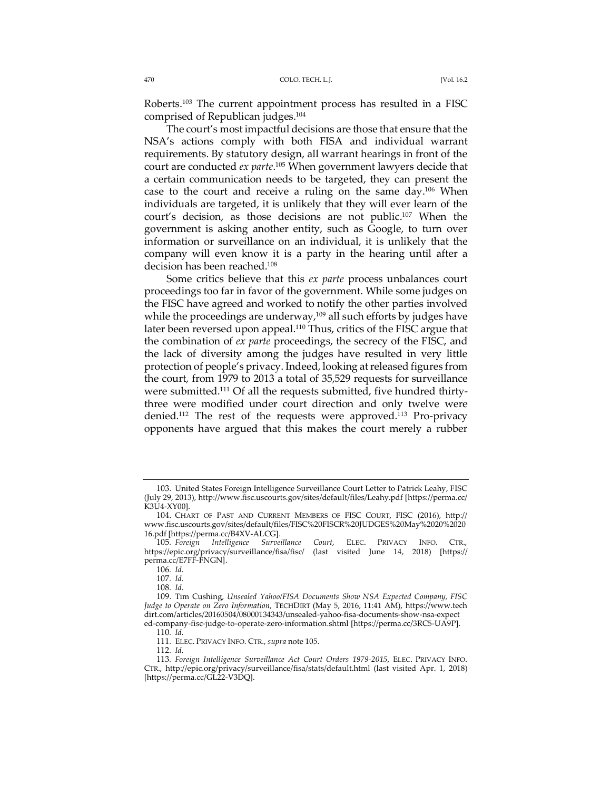Roberts.103 The current appointment process has resulted in a FISC comprised of Republican judges. 104

The court's most impactful decisions are those that ensure that the NSA's actions comply with both FISA and individual warrant requirements. By statutory design, all warrant hearings in front of the court are conducted *ex parte*. <sup>105</sup> When government lawyers decide that a certain communication needs to be targeted, they can present the case to the court and receive a ruling on the same day.<sup>106</sup> When individuals are targeted, it is unlikely that they will ever learn of the court's decision, as those decisions are not public.107 When the government is asking another entity, such as Google, to turn over information or surveillance on an individual, it is unlikely that the company will even know it is a party in the hearing until after a decision has been reached.108

Some critics believe that this *ex parte* process unbalances court proceedings too far in favor of the government. While some judges on the FISC have agreed and worked to notify the other parties involved while the proceedings are underway,<sup>109</sup> all such efforts by judges have later been reversed upon appeal.<sup>110</sup> Thus, critics of the FISC argue that the combination of *ex parte* proceedings, the secrecy of the FISC, and the lack of diversity among the judges have resulted in very little protection of people's privacy. Indeed, looking at released figures from the court, from 1979 to 2013 a total of 35,529 requests for surveillance were submitted.<sup>111</sup> Of all the requests submitted, five hundred thirtythree were modified under court direction and only twelve were denied.112 The rest of the requests were approved.113 Pro-privacy opponents have argued that this makes the court merely a rubber

<sup>103.</sup> United States Foreign Intelligence Surveillance Court Letter to Patrick Leahy, FISC (July 29, 2013), http://www.fisc.uscourts.gov/sites/default/files/Leahy.pdf [https://perma.cc/ K3U4-XY00].

<sup>104.</sup> CHART OF PAST AND CURRENT MEMBERS OF FISC COURT, FISC (2016), http:// www.fisc.uscourts.gov/sites/default/files/FISC%20FISCR%20JUDGES%20May%2020%2020

<sup>16.</sup>pdf [https://perma.cc/B4XV-ALCG]. Court, ELEC. PRIVACY INFO. CTR., https://epic.org/privacy/surveillance/fisa/fisc/ (last visited June 14, 2018) [https:// perma.cc/E7FF-FNGN].

<sup>106</sup>*. Id.*

<sup>107</sup>*. Id.*

<sup>108</sup>*. Id.*

<sup>109.</sup> Tim Cushing, *Unsealed Yahoo/FISA Documents Show NSA Expected Company, FISC Judge to Operate on Zero Information*, TECHDIRT (May 5, 2016, 11:41 AM), https://www.tech dirt.com/articles/20160504/08000134343/unsealed-yahoo-fisa-documents-show-nsa-expect ed-company-fisc-judge-to-operate-zero-information.shtml [https://perma.cc/3RC5-UA9P]. 110*. Id.*

<sup>111</sup>*.* ELEC. PRIVACY INFO. CTR., *supra* note 105.

<sup>112</sup>*. Id.*

<sup>113</sup>*. Foreign Intelligence Surveillance Act Court Orders 1979-2015*, ELEC. PRIVACY INFO. CTR., http://epic.org/privacy/surveillance/fisa/stats/default.html (last visited Apr. 1, 2018) [https://perma.cc/GL22-V3DQ].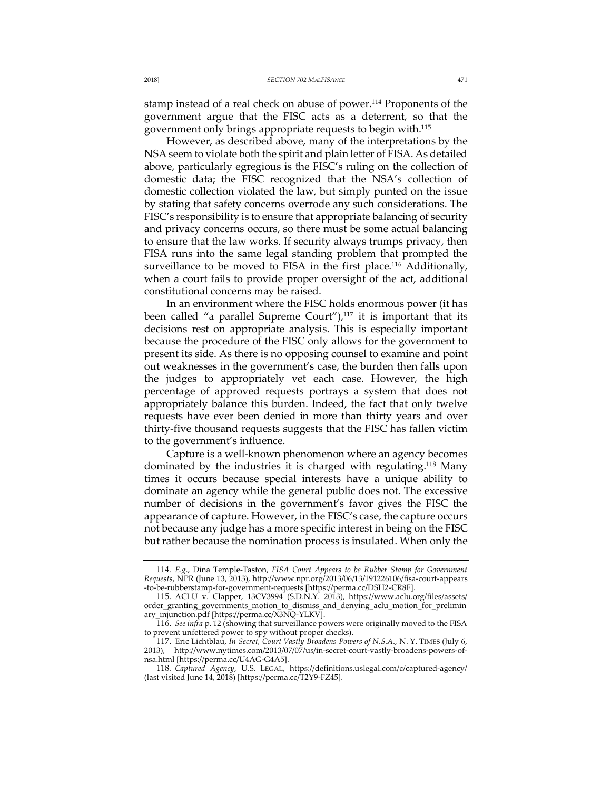stamp instead of a real check on abuse of power.114 Proponents of the government argue that the FISC acts as a deterrent, so that the government only brings appropriate requests to begin with.115

However, as described above, many of the interpretations by the NSA seem to violate both the spirit and plain letter of FISA. As detailed above, particularly egregious is the FISC's ruling on the collection of domestic data; the FISC recognized that the NSA's collection of domestic collection violated the law, but simply punted on the issue by stating that safety concerns overrode any such considerations. The FISC's responsibility is to ensure that appropriate balancing of security and privacy concerns occurs, so there must be some actual balancing to ensure that the law works. If security always trumps privacy, then FISA runs into the same legal standing problem that prompted the surveillance to be moved to FISA in the first place.<sup>116</sup> Additionally, when a court fails to provide proper oversight of the act, additional constitutional concerns may be raised.

In an environment where the FISC holds enormous power (it has been called "a parallel Supreme Court"), $117$  it is important that its decisions rest on appropriate analysis. This is especially important because the procedure of the FISC only allows for the government to present its side. As there is no opposing counsel to examine and point out weaknesses in the government's case, the burden then falls upon the judges to appropriately vet each case. However, the high percentage of approved requests portrays a system that does not appropriately balance this burden. Indeed, the fact that only twelve requests have ever been denied in more than thirty years and over thirty-five thousand requests suggests that the FISC has fallen victim to the government's influence.

Capture is a well-known phenomenon where an agency becomes dominated by the industries it is charged with regulating.118 Many times it occurs because special interests have a unique ability to dominate an agency while the general public does not. The excessive number of decisions in the government's favor gives the FISC the appearance of capture. However, in the FISC's case, the capture occurs not because any judge has a more specific interest in being on the FISC but rather because the nomination process is insulated. When only the

<sup>114</sup>*. E.g*., Dina Temple-Taston, *FISA Court Appears to be Rubber Stamp for Government Requests*, NPR (June 13, 2013), http://www.npr.org/2013/06/13/191226106/fisa-court-appears -to-be-rubberstamp-for-government-requests [https://perma.cc/DSH2-CR8F].

<sup>115.</sup> ACLU v. Clapper, 13CV3994 (S.D.N.Y. 2013), https://www.aclu.org/files/assets/ order\_granting\_governments\_motion\_to\_dismiss\_and\_denying\_aclu\_motion\_for\_prelimin ary\_injunction.pdf [https://perma.cc/X3NQ-YLKV].

<sup>116.</sup> *See infra* p. 12 (showing that surveillance powers were originally moved to the FISA to prevent unfettered power to spy without proper checks).

<sup>117.</sup> Eric Lichtblau, *In Secret, Court Vastly Broadens Powers of N.S.A.*, N. Y. TIMES (July 6, 2013), http://www.nytimes.com/2013/07/07/us/in-secret-court-vastly-broadens-powers-ofnsa.html [https://perma.cc/U4AG-G4A5].

<sup>118</sup>*. Captured Agency*, U.S. LEGAL, https://definitions.uslegal.com/c/captured-agency/ (last visited June 14, 2018) [https://perma.cc/T2Y9-FZ45].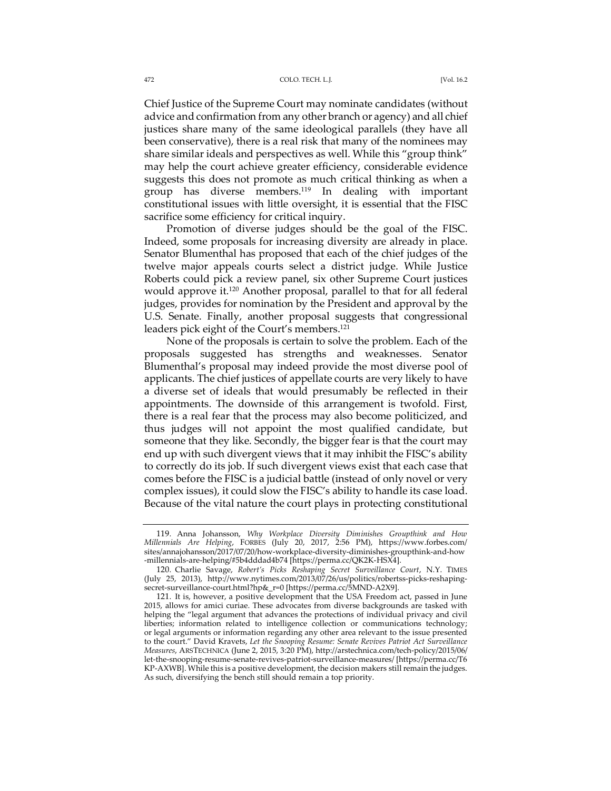Chief Justice of the Supreme Court may nominate candidates (without advice and confirmation from any other branch or agency) and all chief justices share many of the same ideological parallels (they have all been conservative), there is a real risk that many of the nominees may share similar ideals and perspectives as well. While this "group think" may help the court achieve greater efficiency, considerable evidence suggests this does not promote as much critical thinking as when a group has diverse members.119 In dealing with important constitutional issues with little oversight, it is essential that the FISC sacrifice some efficiency for critical inquiry.

Promotion of diverse judges should be the goal of the FISC. Indeed, some proposals for increasing diversity are already in place. Senator Blumenthal has proposed that each of the chief judges of the twelve major appeals courts select a district judge. While Justice Roberts could pick a review panel, six other Supreme Court justices would approve it.120 Another proposal, parallel to that for all federal judges, provides for nomination by the President and approval by the U.S. Senate. Finally, another proposal suggests that congressional leaders pick eight of the Court's members.121

None of the proposals is certain to solve the problem. Each of the proposals suggested has strengths and weaknesses. Senator Blumenthal's proposal may indeed provide the most diverse pool of applicants. The chief justices of appellate courts are very likely to have a diverse set of ideals that would presumably be reflected in their appointments. The downside of this arrangement is twofold. First, there is a real fear that the process may also become politicized, and thus judges will not appoint the most qualified candidate, but someone that they like. Secondly, the bigger fear is that the court may end up with such divergent views that it may inhibit the FISC's ability to correctly do its job. If such divergent views exist that each case that comes before the FISC is a judicial battle (instead of only novel or very complex issues), it could slow the FISC's ability to handle its case load. Because of the vital nature the court plays in protecting constitutional

<sup>119.</sup> Anna Johansson, *Why Workplace Diversity Diminishes Groupthink and How Millennials Are Helping*, FORBES (July 20, 2017, 2:56 PM), https://www.forbes.com/ sites/annajohansson/2017/07/20/how-workplace-diversity-diminishes-groupthink-and-how -millennials-are-helping/#5b4dddad4b74 [https://perma.cc/QK2K-HSX4].

<sup>120.</sup> Charlie Savage, *Robert's Picks Reshaping Secret Surveillance Court*, N.Y. TIMES (July 25, 2013), http://www.nytimes.com/2013/07/26/us/politics/robertss-picks-reshapingsecret-surveillance-court.html?hp&\_r=0 [https://perma.cc/5MND-A2X9].

<sup>121.</sup> It is, however, a positive development that the USA Freedom act, passed in June 2015, allows for amici curiae. These advocates from diverse backgrounds are tasked with helping the "legal argument that advances the protections of individual privacy and civil liberties; information related to intelligence collection or communications technology; or legal arguments or information regarding any other area relevant to the issue presented to the court." David Kravets, *Let the Snooping Resume: Senate Revives Patriot Act Surveillance Measures*, ARSTECHNICA (June 2, 2015, 3:20 PM), http://arstechnica.com/tech-policy/2015/06/ let-the-snooping-resume-senate-revives-patriot-surveillance-measures/ [https://perma.cc/T6 KP-AXWB]. While this is a positive development, the decision makers still remain the judges. As such, diversifying the bench still should remain a top priority.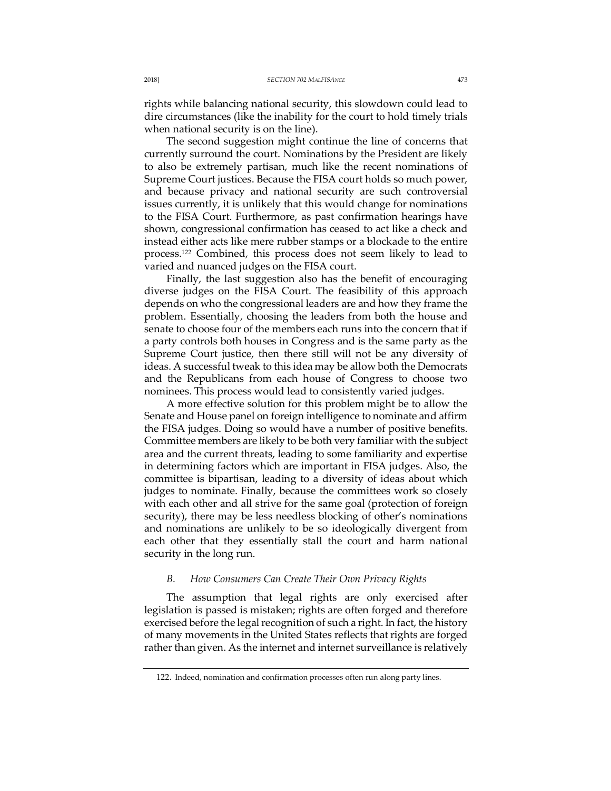rights while balancing national security, this slowdown could lead to dire circumstances (like the inability for the court to hold timely trials when national security is on the line).

The second suggestion might continue the line of concerns that currently surround the court. Nominations by the President are likely to also be extremely partisan, much like the recent nominations of Supreme Court justices. Because the FISA court holds so much power, and because privacy and national security are such controversial issues currently, it is unlikely that this would change for nominations to the FISA Court. Furthermore, as past confirmation hearings have shown, congressional confirmation has ceased to act like a check and instead either acts like mere rubber stamps or a blockade to the entire process.122 Combined, this process does not seem likely to lead to varied and nuanced judges on the FISA court.

Finally, the last suggestion also has the benefit of encouraging diverse judges on the FISA Court. The feasibility of this approach depends on who the congressional leaders are and how they frame the problem. Essentially, choosing the leaders from both the house and senate to choose four of the members each runs into the concern that if a party controls both houses in Congress and is the same party as the Supreme Court justice, then there still will not be any diversity of ideas. A successful tweak to this idea may be allow both the Democrats and the Republicans from each house of Congress to choose two nominees. This process would lead to consistently varied judges.

A more effective solution for this problem might be to allow the Senate and House panel on foreign intelligence to nominate and affirm the FISA judges. Doing so would have a number of positive benefits. Committee members are likely to be both very familiar with the subject area and the current threats, leading to some familiarity and expertise in determining factors which are important in FISA judges. Also, the committee is bipartisan, leading to a diversity of ideas about which judges to nominate. Finally, because the committees work so closely with each other and all strive for the same goal (protection of foreign security), there may be less needless blocking of other's nominations and nominations are unlikely to be so ideologically divergent from each other that they essentially stall the court and harm national security in the long run.

### *B. How Consumers Can Create Their Own Privacy Rights*

The assumption that legal rights are only exercised after legislation is passed is mistaken; rights are often forged and therefore exercised before the legal recognition of such a right. In fact, the history of many movements in the United States reflects that rights are forged rather than given. As the internet and internet surveillance is relatively

<sup>122.</sup> Indeed, nomination and confirmation processes often run along party lines.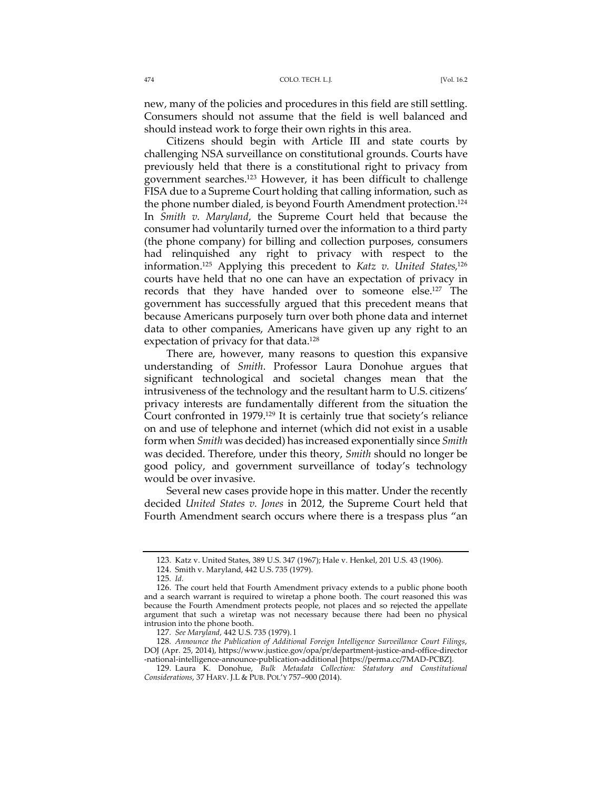new, many of the policies and procedures in this field are still settling. Consumers should not assume that the field is well balanced and should instead work to forge their own rights in this area.

Citizens should begin with Article III and state courts by challenging NSA surveillance on constitutional grounds. Courts have previously held that there is a constitutional right to privacy from government searches.123 However, it has been difficult to challenge FISA due to a Supreme Court holding that calling information, such as the phone number dialed, is beyond Fourth Amendment protection.124 In *Smith v. Maryland*, the Supreme Court held that because the consumer had voluntarily turned over the information to a third party (the phone company) for billing and collection purposes, consumers had relinquished any right to privacy with respect to the information.125 Applying this precedent to *Katz v. United States,*<sup>126</sup> courts have held that no one can have an expectation of privacy in records that they have handed over to someone else.127 The government has successfully argued that this precedent means that because Americans purposely turn over both phone data and internet data to other companies, Americans have given up any right to an expectation of privacy for that data.<sup>128</sup>

There are, however, many reasons to question this expansive understanding of *Smith*. Professor Laura Donohue argues that significant technological and societal changes mean that the intrusiveness of the technology and the resultant harm to U.S. citizens' privacy interests are fundamentally different from the situation the Court confronted in 1979.129 It is certainly true that society's reliance on and use of telephone and internet (which did not exist in a usable form when *Smith* was decided) has increased exponentially since *Smith* was decided. Therefore, under this theory, *Smith* should no longer be good policy, and government surveillance of today's technology would be over invasive.

Several new cases provide hope in this matter. Under the recently decided *United States v. Jones* in 2012, the Supreme Court held that Fourth Amendment search occurs where there is a trespass plus "an

<sup>123.</sup> Katz v. United States, 389 U.S. 347 (1967); Hale v. Henkel, 201 U.S. 43 (1906).

<sup>124.</sup> Smith v. Maryland, 442 U.S. 735 (1979).

<sup>125</sup>*. Id.*

<sup>126.</sup> The court held that Fourth Amendment privacy extends to a public phone booth and a search warrant is required to wiretap a phone booth. The court reasoned this was because the Fourth Amendment protects people, not places and so rejected the appellate argument that such a wiretap was not necessary because there had been no physical intrusion into the phone booth.

<sup>127</sup>*. See Maryland*, 442 U.S. 735 (1979). l

<sup>128</sup>*. Announce the Publication of Additional Foreign Intelligence Surveillance Court Filings*, DOJ (Apr. 25, 2014), https://www.justice.gov/opa/pr/department-justice-and-office-director -national-intelligence-announce-publication-additional [https://perma.cc/7MAD-PCBZ].

<sup>129.</sup> Laura K. Donohue, *Bulk Metadata Collection: Statutory and Constitutional Considerations*, 37 HARV. J.L & PUB. POL'Y 757–900 (2014).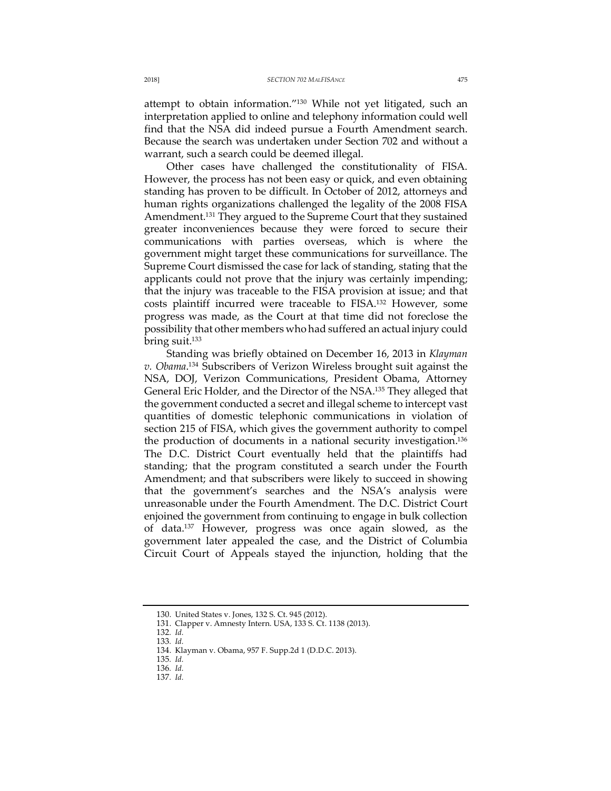attempt to obtain information."130 While not yet litigated, such an interpretation applied to online and telephony information could well find that the NSA did indeed pursue a Fourth Amendment search. Because the search was undertaken under Section 702 and without a warrant, such a search could be deemed illegal.

Other cases have challenged the constitutionality of FISA. However, the process has not been easy or quick, and even obtaining standing has proven to be difficult. In October of 2012, attorneys and human rights organizations challenged the legality of the 2008 FISA Amendment.<sup>131</sup> They argued to the Supreme Court that they sustained greater inconveniences because they were forced to secure their communications with parties overseas, which is where the government might target these communications for surveillance. The Supreme Court dismissed the case for lack of standing, stating that the applicants could not prove that the injury was certainly impending; that the injury was traceable to the FISA provision at issue; and that costs plaintiff incurred were traceable to FISA.132 However, some progress was made, as the Court at that time did not foreclose the possibility that other members who had suffered an actual injury could bring suit.133

Standing was briefly obtained on December 16, 2013 in *Klayman v. Obama*. <sup>134</sup> Subscribers of Verizon Wireless brought suit against the NSA, DOJ, Verizon Communications, President Obama, Attorney General Eric Holder, and the Director of the NSA.<sup>135</sup> They alleged that the government conducted a secret and illegal scheme to intercept vast quantities of domestic telephonic communications in violation of section 215 of FISA, which gives the government authority to compel the production of documents in a national security investigation.136 The D.C. District Court eventually held that the plaintiffs had standing; that the program constituted a search under the Fourth Amendment; and that subscribers were likely to succeed in showing that the government's searches and the NSA's analysis were unreasonable under the Fourth Amendment. The D.C. District Court enjoined the government from continuing to engage in bulk collection of data.137 However, progress was once again slowed, as the government later appealed the case, and the District of Columbia Circuit Court of Appeals stayed the injunction, holding that the

<sup>130.</sup> United States v. Jones, 132 S. Ct. 945 (2012).

<sup>131.</sup> Clapper v. Amnesty Intern. USA, 133 S. Ct. 1138 (2013).

<sup>132</sup>*. Id.*

<sup>133</sup>*. Id.*

<sup>134.</sup> Klayman v. Obama, 957 F. Supp.2d 1 (D.D.C. 2013).

<sup>135</sup>*. Id.*

<sup>136</sup>*. Id.*

<sup>137</sup>*. Id.*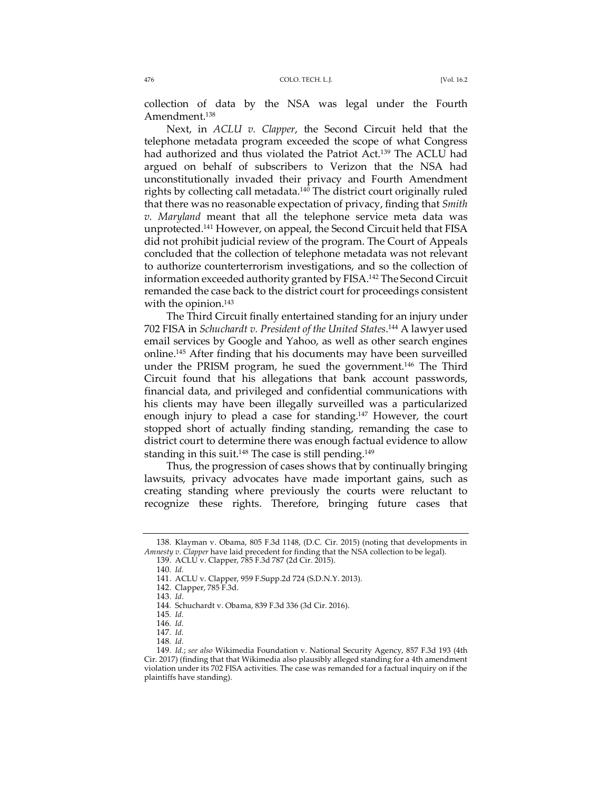collection of data by the NSA was legal under the Fourth Amendment.138

Next, in *ACLU v. Clapper*, the Second Circuit held that the telephone metadata program exceeded the scope of what Congress had authorized and thus violated the Patriot Act.<sup>139</sup> The ACLU had argued on behalf of subscribers to Verizon that the NSA had unconstitutionally invaded their privacy and Fourth Amendment rights by collecting call metadata.<sup>140</sup> The district court originally ruled that there was no reasonable expectation of privacy, finding that *Smith v. Maryland* meant that all the telephone service meta data was unprotected.141 However, on appeal, the Second Circuit held that FISA did not prohibit judicial review of the program. The Court of Appeals concluded that the collection of telephone metadata was not relevant to authorize counterterrorism investigations, and so the collection of information exceeded authority granted by FISA.142 The Second Circuit remanded the case back to the district court for proceedings consistent with the opinion.<sup>143</sup>

The Third Circuit finally entertained standing for an injury under 702 FISA in *Schuchardt v. President of the United States*. <sup>144</sup> A lawyer used email services by Google and Yahoo, as well as other search engines online.145 After finding that his documents may have been surveilled under the PRISM program, he sued the government.<sup>146</sup> The Third Circuit found that his allegations that bank account passwords, financial data, and privileged and confidential communications with his clients may have been illegally surveilled was a particularized enough injury to plead a case for standing.<sup>147</sup> However, the court stopped short of actually finding standing, remanding the case to district court to determine there was enough factual evidence to allow standing in this suit.<sup>148</sup> The case is still pending.<sup>149</sup>

Thus, the progression of cases shows that by continually bringing lawsuits, privacy advocates have made important gains, such as creating standing where previously the courts were reluctant to recognize these rights. Therefore, bringing future cases that

<sup>138.</sup> Klayman v. Obama, 805 F.3d 1148, (D.C. Cir. 2015) (noting that developments in *Amnesty v. Clapper* have laid precedent for finding that the NSA collection to be legal).

<sup>139.</sup> ACLU v. Clapper, 785 F.3d 787 (2d Cir. 2015).

<sup>140</sup>*. Id.*

<sup>141.</sup> ACLU v. Clapper, 959 F.Supp.2d 724 (S.D.N.Y. 2013).

<sup>142.</sup> Clapper, 785 F.3d.

<sup>143.</sup> *Id*.

<sup>144</sup>*.* Schuchardt v. Obama, 839 F.3d 336 (3d Cir. 2016).

<sup>145</sup>*. Id.*

<sup>146</sup>*. Id.*

<sup>147</sup>*. Id.*

<sup>148</sup>*. Id.*

<sup>149</sup>*. Id.*; *see also* Wikimedia Foundation v. National Security Agency, 857 F.3d 193 (4th Cir. 2017) (finding that that Wikimedia also plausibly alleged standing for a 4th amendment violation under its 702 FISA activities. The case was remanded for a factual inquiry on if the plaintiffs have standing).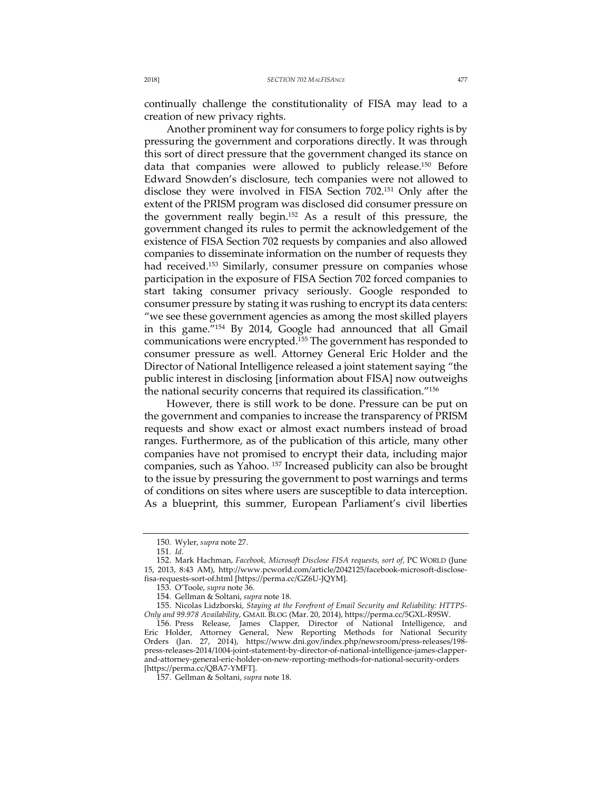continually challenge the constitutionality of FISA may lead to a creation of new privacy rights.

Another prominent way for consumers to forge policy rights is by pressuring the government and corporations directly. It was through this sort of direct pressure that the government changed its stance on data that companies were allowed to publicly release.150 Before Edward Snowden's disclosure, tech companies were not allowed to disclose they were involved in FISA Section 702.151 Only after the extent of the PRISM program was disclosed did consumer pressure on the government really begin.152 As a result of this pressure, the government changed its rules to permit the acknowledgement of the existence of FISA Section 702 requests by companies and also allowed companies to disseminate information on the number of requests they had received.<sup>153</sup> Similarly, consumer pressure on companies whose participation in the exposure of FISA Section 702 forced companies to start taking consumer privacy seriously. Google responded to consumer pressure by stating it was rushing to encrypt its data centers: "we see these government agencies as among the most skilled players in this game."154 By 2014, Google had announced that all Gmail communications were encrypted.155 The government has responded to consumer pressure as well. Attorney General Eric Holder and the Director of National Intelligence released a joint statement saying "the public interest in disclosing [information about FISA] now outweighs the national security concerns that required its classification."156

However, there is still work to be done. Pressure can be put on the government and companies to increase the transparency of PRISM requests and show exact or almost exact numbers instead of broad ranges. Furthermore, as of the publication of this article, many other companies have not promised to encrypt their data, including major companies, such as Yahoo. 157 Increased publicity can also be brought to the issue by pressuring the government to post warnings and terms of conditions on sites where users are susceptible to data interception. As a blueprint, this summer, European Parliament's civil liberties

<sup>150.</sup> Wyler, *supra* note 27.

<sup>151</sup>*. Id.*

<sup>152.</sup> Mark Hachman, *Facebook, Microsoft Disclose FISA requests, sort of*, PC WORLD (June 15, 2013, 8:43 AM), http://www.pcworld.com/article/2042125/facebook-microsoft-disclosefisa-requests-sort-of.html [https://perma.cc/GZ6U-JQYM].

<sup>153.</sup> O'Toole, *supra* note 36.

<sup>154.</sup> Gellman & Soltani, *supra* note 18.

<sup>155.</sup> Nicolas Lidzborski, *Staying at the Forefront of Email Security and Reliability: HTTPS-Only and 99.978 Availability*, GMAIL BLOG (Mar. 20, 2014), https://perma.cc/5GXL-R9SW.

<sup>156.</sup> Press Release, James Clapper, Director of National Intelligence, and Eric Holder, Attorney General, New Reporting Methods for National Security Orders (Jan. 27, 2014), https://www.dni.gov/index.php/newsroom/press-releases/198 press-releases-2014/1004-joint-statement-by-director-of-national-intelligence-james-clapperand-attorney-general-eric-holder-on-new-reporting-methods-for-national-security-orders [https://perma.cc/QBA7-YMFT].

<sup>157.</sup> Gellman & Soltani, *supra* note 18.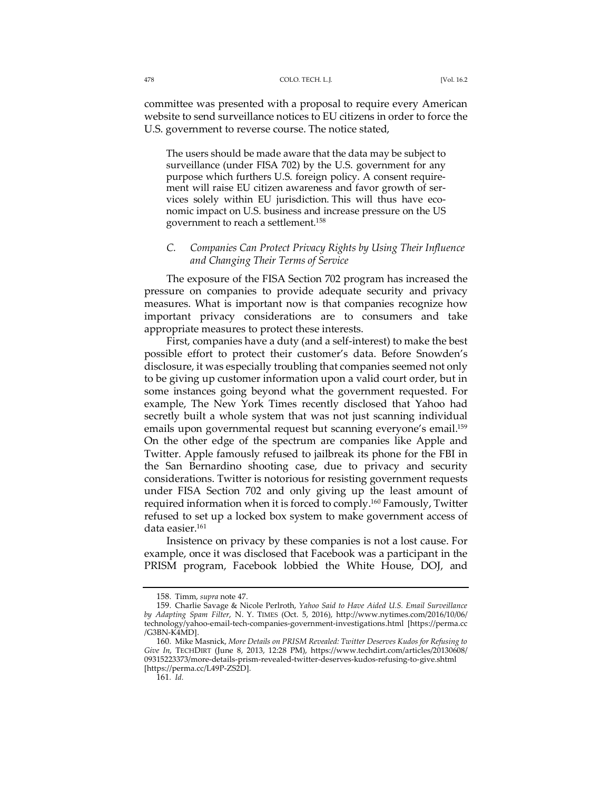committee was presented with a proposal to require every American website to send surveillance notices to EU citizens in order to force the U.S. government to reverse course. The notice stated,

The users should be made aware that the data may be subject to surveillance (under FISA 702) by the U.S. government for any purpose which furthers U.S. foreign policy. A consent requirement will raise EU citizen awareness and favor growth of services solely within EU jurisdiction. This will thus have economic impact on U.S. business and increase pressure on the US government to reach a settlement.158

## *C. Companies Can Protect Privacy Rights by Using Their Influence and Changing Their Terms of Service*

The exposure of the FISA Section 702 program has increased the pressure on companies to provide adequate security and privacy measures. What is important now is that companies recognize how important privacy considerations are to consumers and take appropriate measures to protect these interests.

First, companies have a duty (and a self-interest) to make the best possible effort to protect their customer's data. Before Snowden's disclosure, it was especially troubling that companies seemed not only to be giving up customer information upon a valid court order, but in some instances going beyond what the government requested. For example, The New York Times recently disclosed that Yahoo had secretly built a whole system that was not just scanning individual emails upon governmental request but scanning everyone's email.<sup>159</sup> On the other edge of the spectrum are companies like Apple and Twitter. Apple famously refused to jailbreak its phone for the FBI in the San Bernardino shooting case, due to privacy and security considerations. Twitter is notorious for resisting government requests under FISA Section 702 and only giving up the least amount of required information when it is forced to comply.160 Famously, Twitter refused to set up a locked box system to make government access of data easier.161

Insistence on privacy by these companies is not a lost cause. For example, once it was disclosed that Facebook was a participant in the PRISM program, Facebook lobbied the White House, DOJ, and

<sup>158.</sup> Timm, *supra* note 47.

<sup>159.</sup> Charlie Savage & Nicole Perlroth, *Yahoo Said to Have Aided U.S. Email Surveillance by Adapting Spam Filter*, N. Y. TIMES (Oct. 5, 2016), http://www.nytimes.com/2016/10/06/ technology/yahoo-email-tech-companies-government-investigations.html [https://perma.cc /G3BN-K4MD].

<sup>160.</sup> Mike Masnick, *More Details on PRISM Revealed: Twitter Deserves Kudos for Refusing to Give In*, TECHDIRT (June 8, 2013, 12:28 PM), https://www.techdirt.com/articles/20130608/ 09315223373/more-details-prism-revealed-twitter-deserves-kudos-refusing-to-give.shtml [https://perma.cc/L49P-ZS2D].

<sup>161</sup>*. Id.*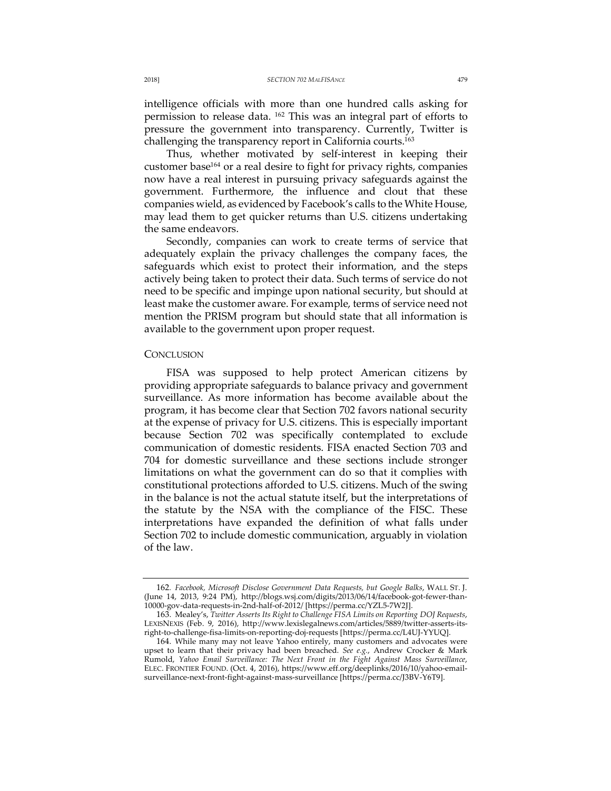intelligence officials with more than one hundred calls asking for permission to release data. 162 This was an integral part of efforts to pressure the government into transparency. Currently, Twitter is challenging the transparency report in California courts.163

Thus, whether motivated by self-interest in keeping their customer base<sup>164</sup> or a real desire to fight for privacy rights, companies now have a real interest in pursuing privacy safeguards against the government. Furthermore, the influence and clout that these companies wield, as evidenced by Facebook's calls to the White House, may lead them to get quicker returns than U.S. citizens undertaking the same endeavors.

Secondly, companies can work to create terms of service that adequately explain the privacy challenges the company faces, the safeguards which exist to protect their information, and the steps actively being taken to protect their data. Such terms of service do not need to be specific and impinge upon national security, but should at least make the customer aware. For example, terms of service need not mention the PRISM program but should state that all information is available to the government upon proper request.

### **CONCLUSION**

FISA was supposed to help protect American citizens by providing appropriate safeguards to balance privacy and government surveillance. As more information has become available about the program, it has become clear that Section 702 favors national security at the expense of privacy for U.S. citizens. This is especially important because Section 702 was specifically contemplated to exclude communication of domestic residents. FISA enacted Section 703 and 704 for domestic surveillance and these sections include stronger limitations on what the government can do so that it complies with constitutional protections afforded to U.S. citizens. Much of the swing in the balance is not the actual statute itself, but the interpretations of the statute by the NSA with the compliance of the FISC. These interpretations have expanded the definition of what falls under Section 702 to include domestic communication, arguably in violation of the law.

<sup>162</sup>*. Facebook, Microsoft Disclose Government Data Requests, but Google Balks*, WALL ST. J. (June 14, 2013, 9:24 PM), http://blogs.wsj.com/digits/2013/06/14/facebook-got-fewer-than-10000-gov-data-requests-in-2nd-half-of-2012/ [https://perma.cc/YZL5-7W2J].

<sup>163.</sup> Mealey's, *Twitter Asserts Its Right to Challenge FISA Limits on Reporting DOJ Requests*, LEXISNEXIS (Feb. 9, 2016), http://www.lexislegalnews.com/articles/5889/twitter-asserts-itsright-to-challenge-fisa-limits-on-reporting-doj-requests [https://perma.cc/L4UJ-YYUQ].

<sup>164.</sup> While many may not leave Yahoo entirely, many customers and advocates were upset to learn that their privacy had been breached. *See e.g.*, Andrew Crocker & Mark Rumold, *Yahoo Email Surveillance: The Next Front in the Fight Against Mass Surveillance*, ELEC. FRONTIER FOUND. (Oct. 4, 2016), https://www.eff.org/deeplinks/2016/10/yahoo-emailsurveillance-next-front-fight-against-mass-surveillance [https://perma.cc/J3BV-Y6T9].